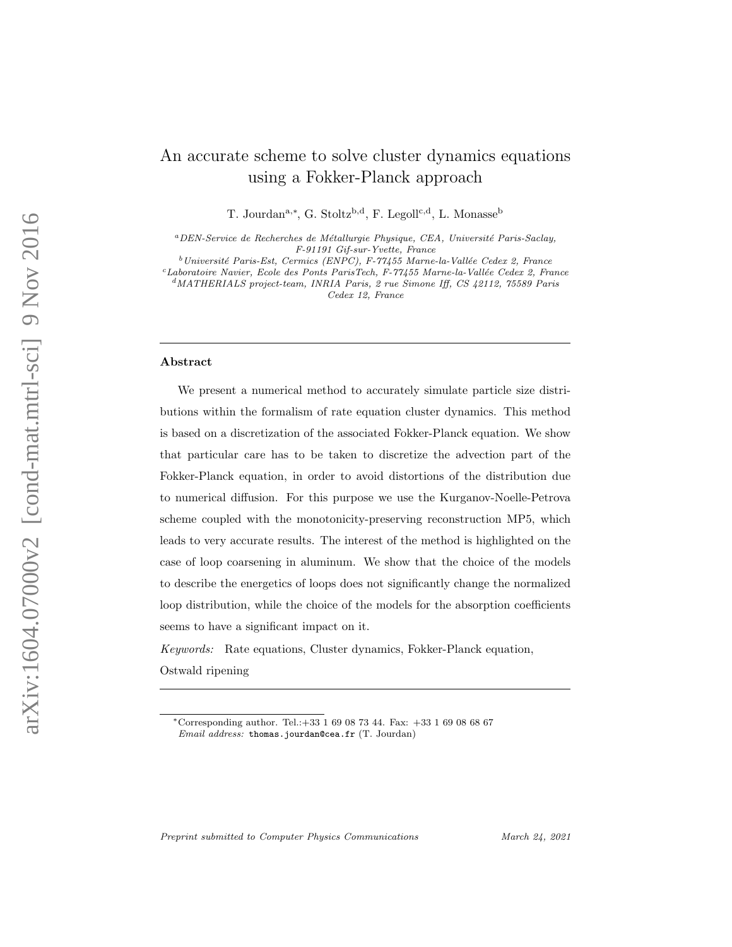# An accurate scheme to solve cluster dynamics equations using a Fokker-Planck approach

T. Jourdan<sup>a,\*</sup>, G. Stoltz<sup>b,d</sup>, F. Legoll<sup>c,d</sup>, L. Monasse<sup>b</sup>

 ${}^a$ DEN-Service de Recherches de Métallurgie Physique, CEA, Université Paris-Saclay, F-91191 Gif-sur-Yvette, France

 $b$ Université Paris-Est, Cermics (ENPC), F-77455 Marne-la-Vallée Cedex 2, France

 $c$ Laboratoire Navier, Ecole des Ponts ParisTech, F-77455 Marne-la-Vallée Cedex 2, France

 $d$ MATHERIALS project-team, INRIA Paris, 2 rue Simone Iff, CS 42112, 75589 Paris Cedex 12, France

#### Abstract

We present a numerical method to accurately simulate particle size distributions within the formalism of rate equation cluster dynamics. This method is based on a discretization of the associated Fokker-Planck equation. We show that particular care has to be taken to discretize the advection part of the Fokker-Planck equation, in order to avoid distortions of the distribution due to numerical diffusion. For this purpose we use the Kurganov-Noelle-Petrova scheme coupled with the monotonicity-preserving reconstruction MP5, which leads to very accurate results. The interest of the method is highlighted on the case of loop coarsening in aluminum. We show that the choice of the models to describe the energetics of loops does not significantly change the normalized loop distribution, while the choice of the models for the absorption coefficients seems to have a significant impact on it.

Keywords: Rate equations, Cluster dynamics, Fokker-Planck equation, Ostwald ripening

Preprint submitted to Computer Physics Communications March 24, 2021

<sup>∗</sup>Corresponding author. Tel.:+33 1 69 08 73 44. Fax: +33 1 69 08 68 67 Email address: thomas.jourdan@cea.fr (T. Jourdan)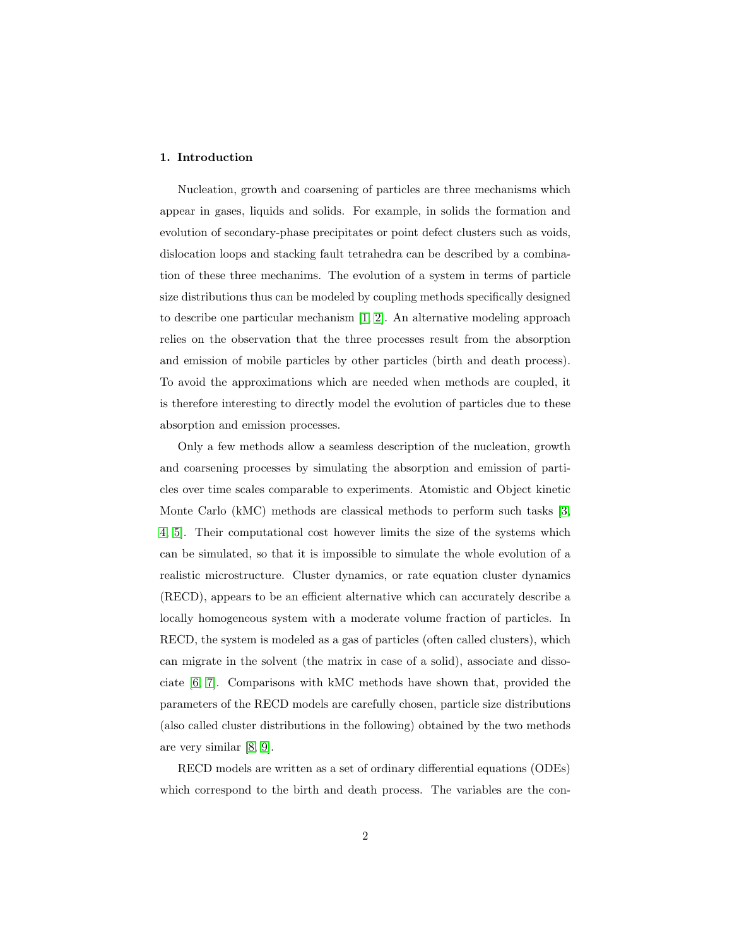# 1. Introduction

Nucleation, growth and coarsening of particles are three mechanisms which appear in gases, liquids and solids. For example, in solids the formation and evolution of secondary-phase precipitates or point defect clusters such as voids, dislocation loops and stacking fault tetrahedra can be described by a combination of these three mechanims. The evolution of a system in terms of particle size distributions thus can be modeled by coupling methods specifically designed to describe one particular mechanism [\[1,](#page-26-0) [2\]](#page-26-1). An alternative modeling approach relies on the observation that the three processes result from the absorption and emission of mobile particles by other particles (birth and death process). To avoid the approximations which are needed when methods are coupled, it is therefore interesting to directly model the evolution of particles due to these absorption and emission processes.

Only a few methods allow a seamless description of the nucleation, growth and coarsening processes by simulating the absorption and emission of particles over time scales comparable to experiments. Atomistic and Object kinetic Monte Carlo (kMC) methods are classical methods to perform such tasks [\[3,](#page-26-2) [4,](#page-26-3) [5\]](#page-26-4). Their computational cost however limits the size of the systems which can be simulated, so that it is impossible to simulate the whole evolution of a realistic microstructure. Cluster dynamics, or rate equation cluster dynamics (RECD), appears to be an efficient alternative which can accurately describe a locally homogeneous system with a moderate volume fraction of particles. In RECD, the system is modeled as a gas of particles (often called clusters), which can migrate in the solvent (the matrix in case of a solid), associate and dissociate [\[6,](#page-26-5) [7\]](#page-26-6). Comparisons with kMC methods have shown that, provided the parameters of the RECD models are carefully chosen, particle size distributions (also called cluster distributions in the following) obtained by the two methods are very similar [\[8,](#page-26-7) [9\]](#page-26-8).

RECD models are written as a set of ordinary differential equations (ODEs) which correspond to the birth and death process. The variables are the con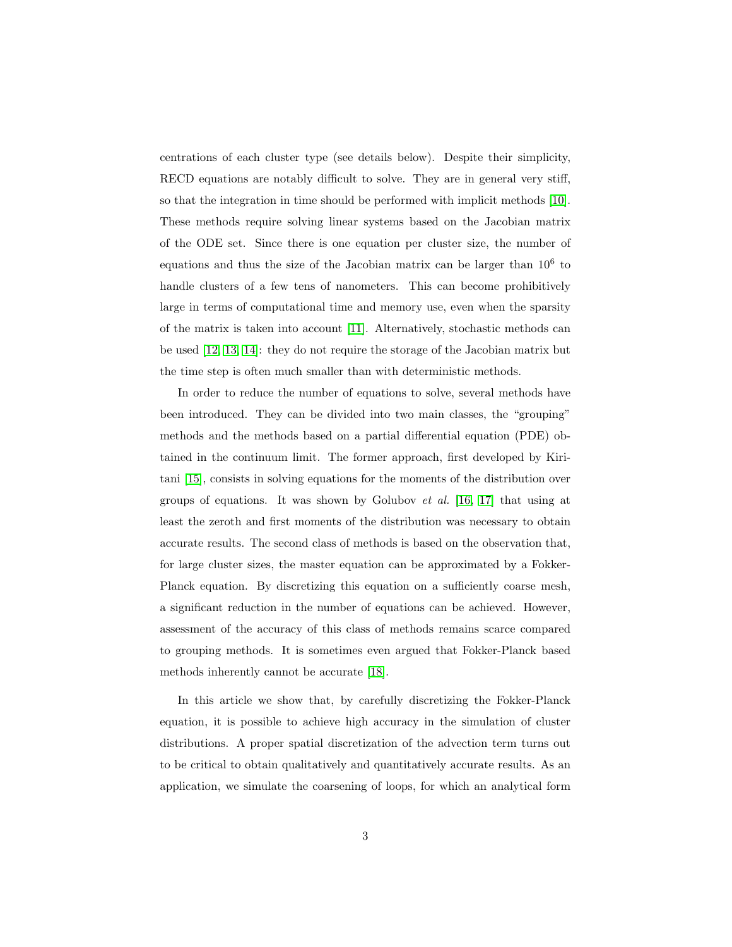centrations of each cluster type (see details below). Despite their simplicity, RECD equations are notably difficult to solve. They are in general very stiff, so that the integration in time should be performed with implicit methods [\[10\]](#page-26-9). These methods require solving linear systems based on the Jacobian matrix of the ODE set. Since there is one equation per cluster size, the number of equations and thus the size of the Jacobian matrix can be larger than  $10^6$  to handle clusters of a few tens of nanometers. This can become prohibitively large in terms of computational time and memory use, even when the sparsity of the matrix is taken into account [\[11\]](#page-26-10). Alternatively, stochastic methods can be used [\[12,](#page-26-11) [13,](#page-26-12) [14\]](#page-26-13): they do not require the storage of the Jacobian matrix but the time step is often much smaller than with deterministic methods.

In order to reduce the number of equations to solve, several methods have been introduced. They can be divided into two main classes, the "grouping" methods and the methods based on a partial differential equation (PDE) obtained in the continuum limit. The former approach, first developed by Kiritani [\[15\]](#page-26-14), consists in solving equations for the moments of the distribution over groups of equations. It was shown by Golubov et al. [\[16,](#page-26-15) [17\]](#page-26-16) that using at least the zeroth and first moments of the distribution was necessary to obtain accurate results. The second class of methods is based on the observation that, for large cluster sizes, the master equation can be approximated by a Fokker-Planck equation. By discretizing this equation on a sufficiently coarse mesh, a significant reduction in the number of equations can be achieved. However, assessment of the accuracy of this class of methods remains scarce compared to grouping methods. It is sometimes even argued that Fokker-Planck based methods inherently cannot be accurate [\[18\]](#page-27-0).

In this article we show that, by carefully discretizing the Fokker-Planck equation, it is possible to achieve high accuracy in the simulation of cluster distributions. A proper spatial discretization of the advection term turns out to be critical to obtain qualitatively and quantitatively accurate results. As an application, we simulate the coarsening of loops, for which an analytical form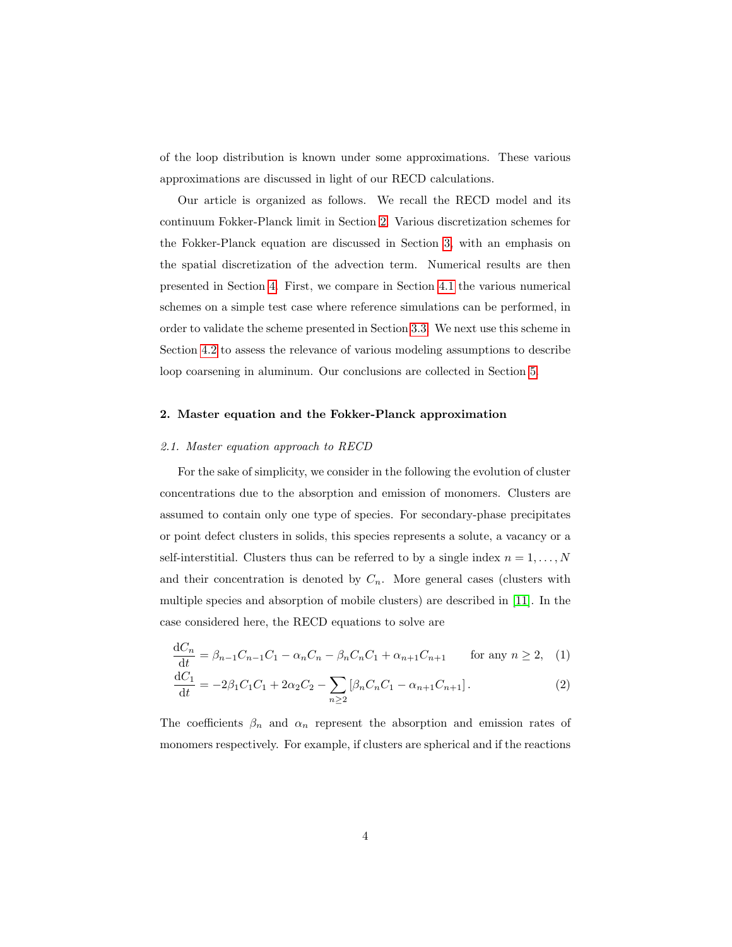of the loop distribution is known under some approximations. These various approximations are discussed in light of our RECD calculations.

Our article is organized as follows. We recall the RECD model and its continuum Fokker-Planck limit in Section [2.](#page-3-0) Various discretization schemes for the Fokker-Planck equation are discussed in Section [3,](#page-7-0) with an emphasis on the spatial discretization of the advection term. Numerical results are then presented in Section [4.](#page-12-0) First, we compare in Section [4.1](#page-12-1) the various numerical schemes on a simple test case where reference simulations can be performed, in order to validate the scheme presented in Section [3.3.](#page-11-0) We next use this scheme in Section [4.2](#page-16-0) to assess the relevance of various modeling assumptions to describe loop coarsening in aluminum. Our conclusions are collected in Section [5.](#page-21-0)

### <span id="page-3-0"></span>2. Master equation and the Fokker-Planck approximation

#### 2.1. Master equation approach to RECD

For the sake of simplicity, we consider in the following the evolution of cluster concentrations due to the absorption and emission of monomers. Clusters are assumed to contain only one type of species. For secondary-phase precipitates or point defect clusters in solids, this species represents a solute, a vacancy or a self-interstitial. Clusters thus can be referred to by a single index  $n=1,\ldots,N$ and their concentration is denoted by  $C_n$ . More general cases (clusters with multiple species and absorption of mobile clusters) are described in [\[11\]](#page-26-10). In the case considered here, the RECD equations to solve are

<span id="page-3-1"></span>
$$
\frac{dC_n}{dt} = \beta_{n-1}C_{n-1}C_1 - \alpha_n C_n - \beta_n C_n C_1 + \alpha_{n+1} C_{n+1} \qquad \text{for any } n \ge 2, \quad (1)
$$

<span id="page-3-2"></span>
$$
\frac{dC_1}{dt} = -2\beta_1 C_1 C_1 + 2\alpha_2 C_2 - \sum_{n\geq 2} \left[ \beta_n C_n C_1 - \alpha_{n+1} C_{n+1} \right].
$$
\n(2)

The coefficients  $\beta_n$  and  $\alpha_n$  represent the absorption and emission rates of monomers respectively. For example, if clusters are spherical and if the reactions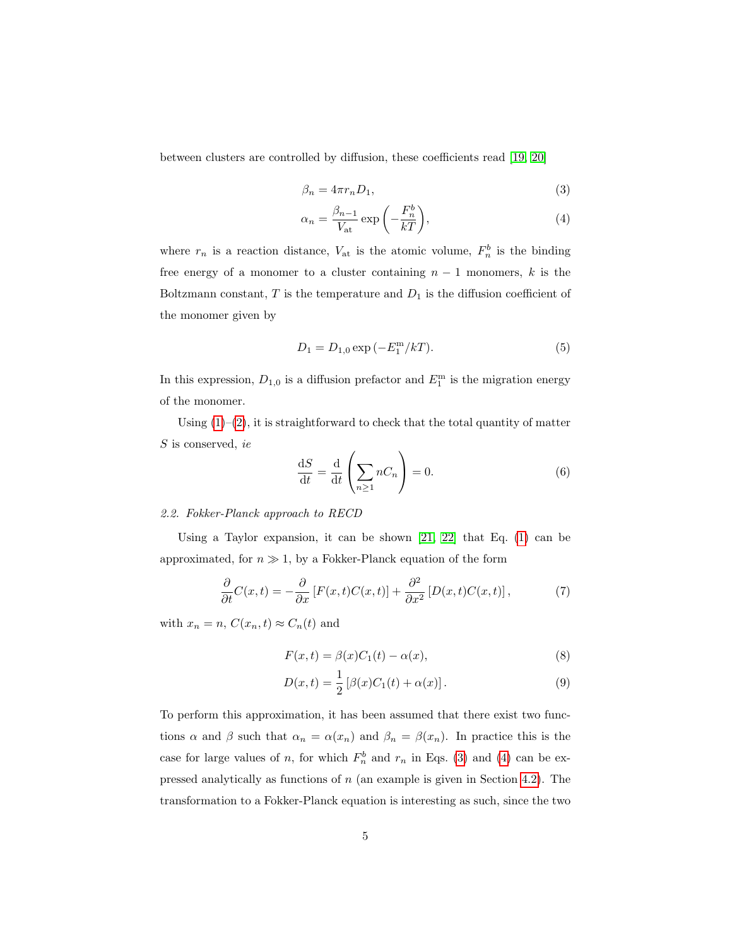between clusters are controlled by diffusion, these coefficients read [\[19,](#page-27-1) [20\]](#page-27-2)

$$
\beta_n = 4\pi r_n D_1,\tag{3}
$$

<span id="page-4-1"></span><span id="page-4-0"></span>
$$
\alpha_n = \frac{\beta_{n-1}}{V_{\rm at}} \exp\left(-\frac{F_n^b}{kT}\right),\tag{4}
$$

where  $r_n$  is a reaction distance,  $V_{\text{at}}$  is the atomic volume,  $F_n^b$  is the binding free energy of a monomer to a cluster containing  $n-1$  monomers, k is the Boltzmann constant,  $T$  is the temperature and  $D_1$  is the diffusion coefficient of the monomer given by

<span id="page-4-5"></span>
$$
D_1 = D_{1,0} \exp(-E_1^{\rm m}/kT). \tag{5}
$$

In this expression,  $D_{1,0}$  is a diffusion prefactor and  $E_1^{\text{m}}$  is the migration energy of the monomer.

Using  $(1)-(2)$  $(1)-(2)$  $(1)-(2)$ , it is straightforward to check that the total quantity of matter  $S$  is conserved, ie

<span id="page-4-2"></span>
$$
\frac{\mathrm{d}S}{\mathrm{d}t} = \frac{\mathrm{d}}{\mathrm{d}t} \left( \sum_{n \ge 1} n C_n \right) = 0. \tag{6}
$$

# 2.2. Fokker-Planck approach to RECD

Using a Taylor expansion, it can be shown [\[21,](#page-27-3) [22\]](#page-27-4) that Eq. [\(1\)](#page-3-1) can be approximated, for  $n \gg 1$ , by a Fokker-Planck equation of the form

$$
\frac{\partial}{\partial t}C(x,t) = -\frac{\partial}{\partial x}\left[F(x,t)C(x,t)\right] + \frac{\partial^2}{\partial x^2}\left[D(x,t)C(x,t)\right],\tag{7}
$$

with  $x_n = n$ ,  $C(x_n, t) \approx C_n(t)$  and

<span id="page-4-3"></span>
$$
F(x,t) = \beta(x)C_1(t) - \alpha(x),\tag{8}
$$

<span id="page-4-4"></span>
$$
D(x,t) = \frac{1}{2} [\beta(x)C_1(t) + \alpha(x)].
$$
 (9)

To perform this approximation, it has been assumed that there exist two functions  $\alpha$  and  $\beta$  such that  $\alpha_n = \alpha(x_n)$  and  $\beta_n = \beta(x_n)$ . In practice this is the case for large values of n, for which  $F_n^b$  and  $r_n$  in Eqs. [\(3\)](#page-4-0) and [\(4\)](#page-4-1) can be expressed analytically as functions of  $n$  (an example is given in Section [4.2\)](#page-16-0). The transformation to a Fokker-Planck equation is interesting as such, since the two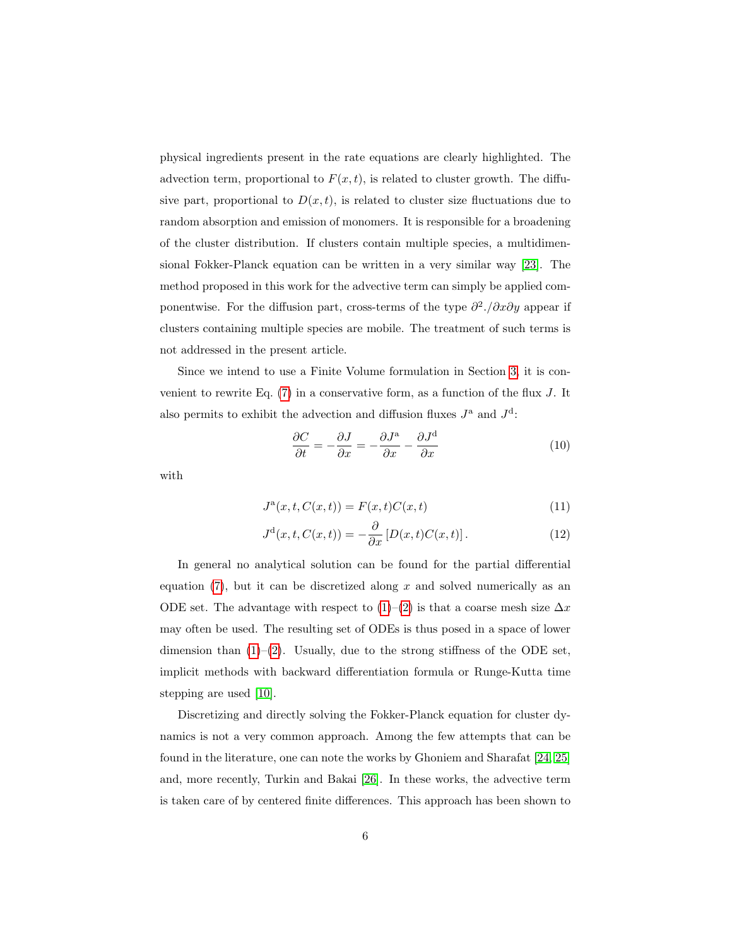physical ingredients present in the rate equations are clearly highlighted. The advection term, proportional to  $F(x, t)$ , is related to cluster growth. The diffusive part, proportional to  $D(x, t)$ , is related to cluster size fluctuations due to random absorption and emission of monomers. It is responsible for a broadening of the cluster distribution. If clusters contain multiple species, a multidimensional Fokker-Planck equation can be written in a very similar way [\[23\]](#page-27-5). The method proposed in this work for the advective term can simply be applied componentwise. For the diffusion part, cross-terms of the type  $\partial^2$ ./ $\partial x \partial y$  appear if clusters containing multiple species are mobile. The treatment of such terms is not addressed in the present article.

Since we intend to use a Finite Volume formulation in Section [3,](#page-7-0) it is convenient to rewrite Eq.  $(7)$  in a conservative form, as a function of the flux J. It also permits to exhibit the advection and diffusion fluxes  $J^{\mathsf{a}}$  and  $J^{\mathsf{d}}$ :

<span id="page-5-1"></span><span id="page-5-0"></span>
$$
\frac{\partial C}{\partial t} = -\frac{\partial J}{\partial x} = -\frac{\partial J^{\text{a}}}{\partial x} - \frac{\partial J^{\text{d}}}{\partial x} \tag{10}
$$

with

$$
J^{a}(x,t,C(x,t)) = F(x,t)C(x,t)
$$
\n
$$
(11)
$$

$$
J^{\mathbf{d}}(x,t,C(x,t)) = -\frac{\partial}{\partial x} \left[ D(x,t)C(x,t) \right]. \tag{12}
$$

In general no analytical solution can be found for the partial differential equation  $(7)$ , but it can be discretized along x and solved numerically as an ODE set. The advantage with respect to  $(1)–(2)$  $(1)–(2)$  $(1)–(2)$  is that a coarse mesh size  $\Delta x$ may often be used. The resulting set of ODEs is thus posed in a space of lower dimension than  $(1)-(2)$  $(1)-(2)$  $(1)-(2)$ . Usually, due to the strong stiffness of the ODE set, implicit methods with backward differentiation formula or Runge-Kutta time stepping are used [\[10\]](#page-26-9).

Discretizing and directly solving the Fokker-Planck equation for cluster dynamics is not a very common approach. Among the few attempts that can be found in the literature, one can note the works by Ghoniem and Sharafat [\[24,](#page-27-6) [25\]](#page-27-7) and, more recently, Turkin and Bakai [\[26\]](#page-27-8). In these works, the advective term is taken care of by centered finite differences. This approach has been shown to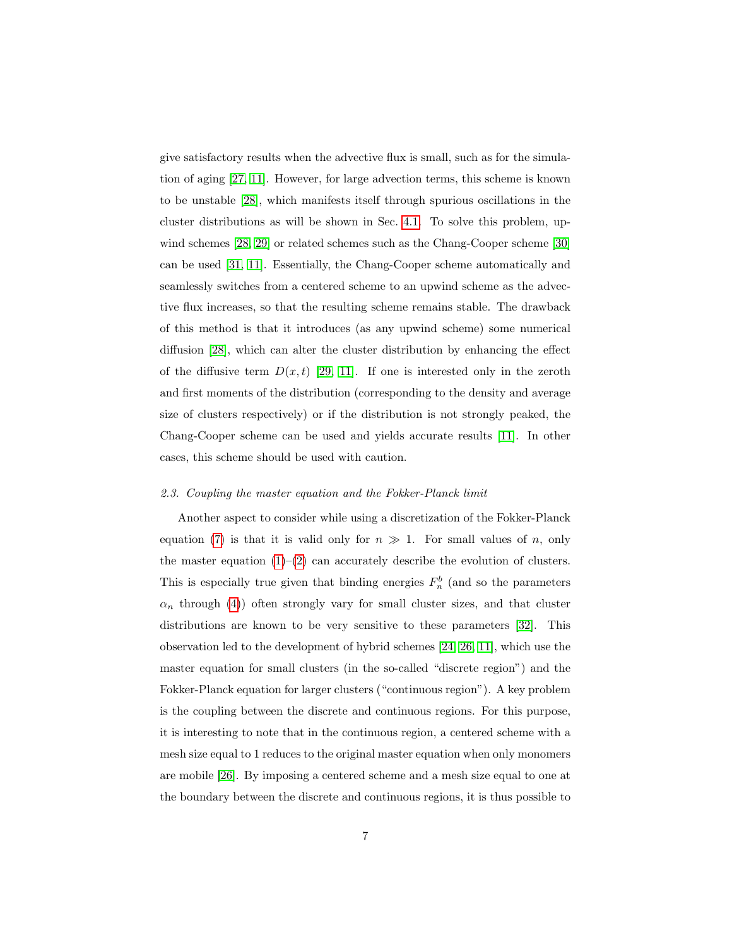give satisfactory results when the advective flux is small, such as for the simulation of aging [\[27,](#page-27-9) [11\]](#page-26-10). However, for large advection terms, this scheme is known to be unstable [\[28\]](#page-27-10), which manifests itself through spurious oscillations in the cluster distributions as will be shown in Sec. [4.1.](#page-12-1) To solve this problem, upwind schemes [\[28,](#page-27-10) [29\]](#page-27-11) or related schemes such as the Chang-Cooper scheme [\[30\]](#page-27-12) can be used [\[31,](#page-27-13) [11\]](#page-26-10). Essentially, the Chang-Cooper scheme automatically and seamlessly switches from a centered scheme to an upwind scheme as the advective flux increases, so that the resulting scheme remains stable. The drawback of this method is that it introduces (as any upwind scheme) some numerical diffusion [\[28\]](#page-27-10), which can alter the cluster distribution by enhancing the effect of the diffusive term  $D(x,t)$  [\[29,](#page-27-11) [11\]](#page-26-10). If one is interested only in the zeroth and first moments of the distribution (corresponding to the density and average size of clusters respectively) or if the distribution is not strongly peaked, the Chang-Cooper scheme can be used and yields accurate results [\[11\]](#page-26-10). In other cases, this scheme should be used with caution.

#### 2.3. Coupling the master equation and the Fokker-Planck limit

Another aspect to consider while using a discretization of the Fokker-Planck equation [\(7\)](#page-4-2) is that it is valid only for  $n \gg 1$ . For small values of n, only the master equation  $(1)$ – $(2)$  can accurately describe the evolution of clusters. This is especially true given that binding energies  $F_n^b$  (and so the parameters  $\alpha_n$  through [\(4\)](#page-4-1)) often strongly vary for small cluster sizes, and that cluster distributions are known to be very sensitive to these parameters [\[32\]](#page-27-14). This observation led to the development of hybrid schemes [\[24,](#page-27-6) [26,](#page-27-8) [11\]](#page-26-10), which use the master equation for small clusters (in the so-called "discrete region") and the Fokker-Planck equation for larger clusters ("continuous region"). A key problem is the coupling between the discrete and continuous regions. For this purpose, it is interesting to note that in the continuous region, a centered scheme with a mesh size equal to 1 reduces to the original master equation when only monomers are mobile [\[26\]](#page-27-8). By imposing a centered scheme and a mesh size equal to one at the boundary between the discrete and continuous regions, it is thus possible to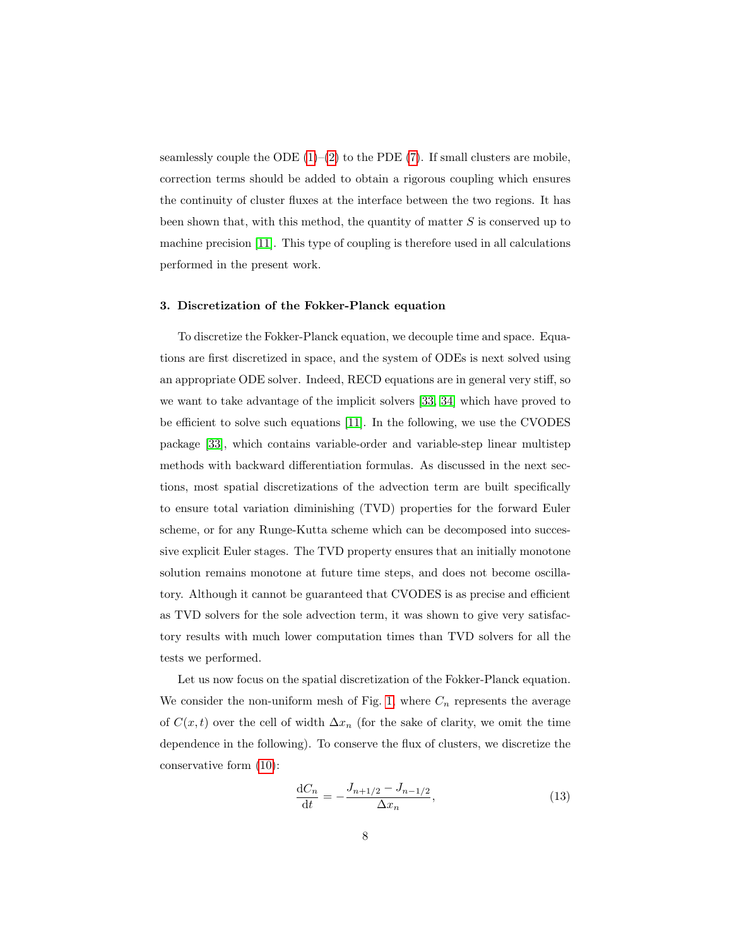seamlessly couple the ODE  $(1)$ – $(2)$  to the PDE  $(7)$ . If small clusters are mobile, correction terms should be added to obtain a rigorous coupling which ensures the continuity of cluster fluxes at the interface between the two regions. It has been shown that, with this method, the quantity of matter  $S$  is conserved up to machine precision [\[11\]](#page-26-10). This type of coupling is therefore used in all calculations performed in the present work.

#### <span id="page-7-0"></span>3. Discretization of the Fokker-Planck equation

To discretize the Fokker-Planck equation, we decouple time and space. Equations are first discretized in space, and the system of ODEs is next solved using an appropriate ODE solver. Indeed, RECD equations are in general very stiff, so we want to take advantage of the implicit solvers [\[33,](#page-27-15) [34\]](#page-27-16) which have proved to be efficient to solve such equations [\[11\]](#page-26-10). In the following, we use the CVODES package [\[33\]](#page-27-15), which contains variable-order and variable-step linear multistep methods with backward differentiation formulas. As discussed in the next sections, most spatial discretizations of the advection term are built specifically to ensure total variation diminishing (TVD) properties for the forward Euler scheme, or for any Runge-Kutta scheme which can be decomposed into successive explicit Euler stages. The TVD property ensures that an initially monotone solution remains monotone at future time steps, and does not become oscillatory. Although it cannot be guaranteed that CVODES is as precise and efficient as TVD solvers for the sole advection term, it was shown to give very satisfactory results with much lower computation times than TVD solvers for all the tests we performed.

Let us now focus on the spatial discretization of the Fokker-Planck equation. We consider the non-uniform mesh of Fig. [1,](#page-8-0) where  $C_n$  represents the average of  $C(x,t)$  over the cell of width  $\Delta x_n$  (for the sake of clarity, we omit the time dependence in the following). To conserve the flux of clusters, we discretize the conservative form [\(10\)](#page-5-0):

<span id="page-7-1"></span>
$$
\frac{dC_n}{dt} = -\frac{J_{n+1/2} - J_{n-1/2}}{\Delta x_n},\tag{13}
$$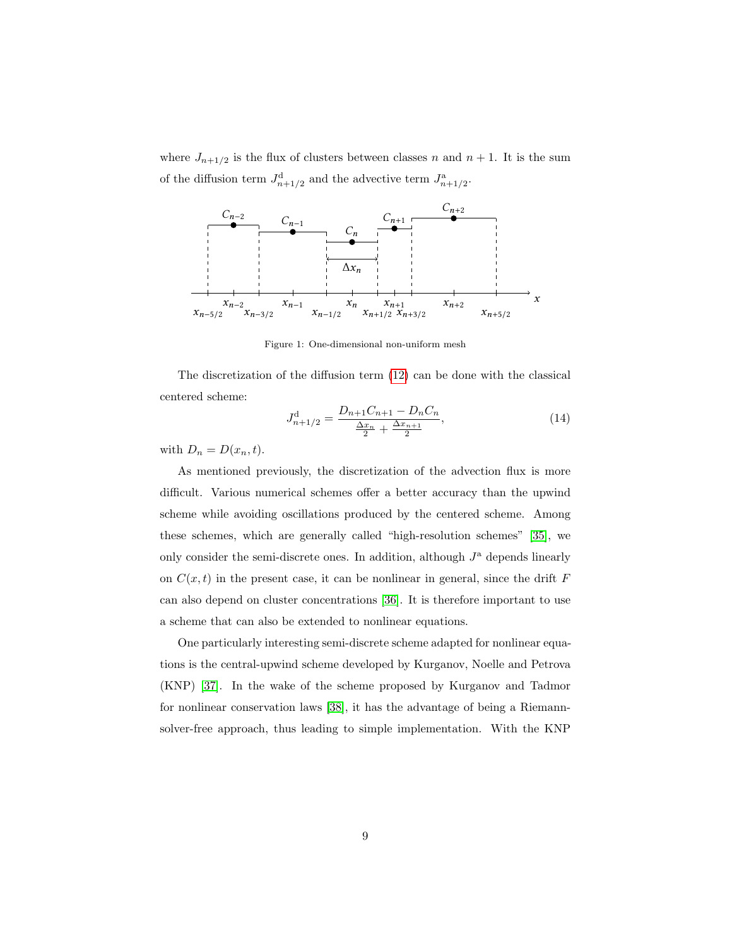where  $J_{n+1/2}$  is the flux of clusters between classes n and  $n + 1$ . It is the sum of the diffusion term  $J_{n+1/2}^d$  and the advective term  $J_{n+1/2}^a$ .



<span id="page-8-0"></span>Figure 1: One-dimensional non-uniform mesh

The discretization of the diffusion term [\(12\)](#page-5-1) can be done with the classical centered scheme:

$$
J_{n+1/2}^{\mathrm{d}} = \frac{D_{n+1}C_{n+1} - D_nC_n}{\frac{\Delta x_n}{2} + \frac{\Delta x_{n+1}}{2}},\tag{14}
$$

with  $D_n = D(x_n, t)$ .

As mentioned previously, the discretization of the advection flux is more difficult. Various numerical schemes offer a better accuracy than the upwind scheme while avoiding oscillations produced by the centered scheme. Among these schemes, which are generally called "high-resolution schemes" [\[35\]](#page-27-17), we only consider the semi-discrete ones. In addition, although  $J^{\rm a}$  depends linearly on  $C(x, t)$  in the present case, it can be nonlinear in general, since the drift F can also depend on cluster concentrations [\[36\]](#page-28-0). It is therefore important to use a scheme that can also be extended to nonlinear equations.

One particularly interesting semi-discrete scheme adapted for nonlinear equations is the central-upwind scheme developed by Kurganov, Noelle and Petrova (KNP) [\[37\]](#page-28-1). In the wake of the scheme proposed by Kurganov and Tadmor for nonlinear conservation laws [\[38\]](#page-28-2), it has the advantage of being a Riemannsolver-free approach, thus leading to simple implementation. With the KNP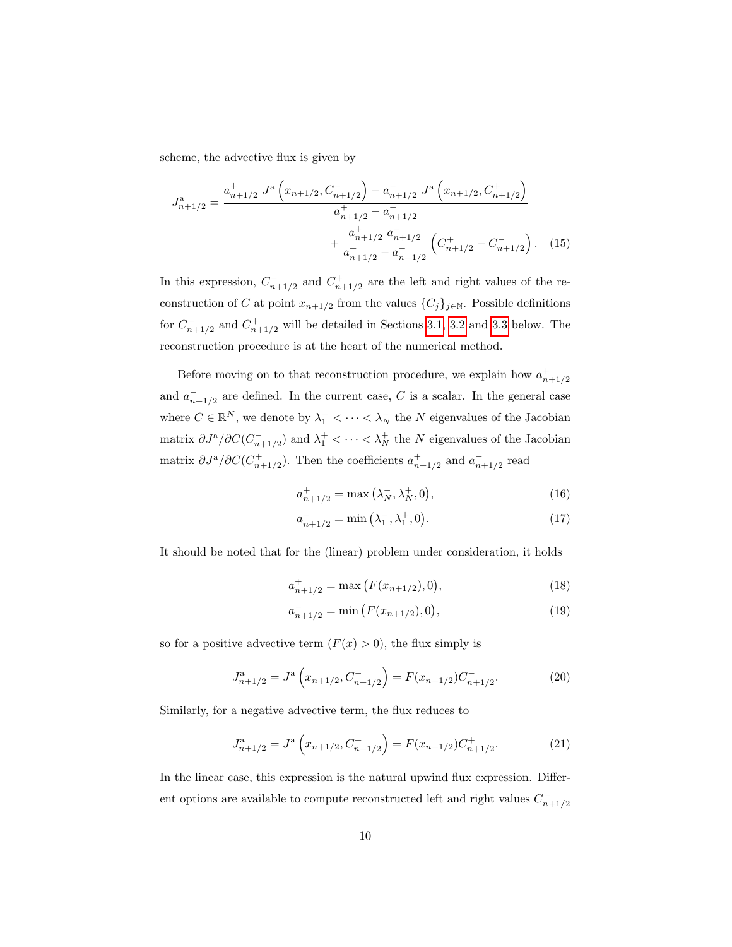scheme, the advective flux is given by

$$
J_{n+1/2}^{\mathbf{a}} = \frac{a_{n+1/2}^{+} J^{\mathbf{a}} \left(x_{n+1/2}, C_{n+1/2}^{-}\right) - a_{n+1/2}^{-} J^{\mathbf{a}} \left(x_{n+1/2}, C_{n+1/2}^{+}\right)}{a_{n+1/2}^{+} - a_{n+1/2}^{-}} + \frac{a_{n+1/2}^{+} a_{n+1/2}^{-} a_{n+1/2}^{-}}{a_{n+1/2}^{+} - a_{n+1/2}^{-} \left(C_{n+1/2}^{+} - C_{n+1/2}^{-}\right)}.
$$
 (15)

In this expression,  $C_{n+1/2}^-$  and  $C_{n+1/2}^+$  are the left and right values of the reconstruction of C at point  $x_{n+1/2}$  from the values  $\{C_j\}_{j\in\mathbb{N}}$ . Possible definitions for  $C_{n+1/2}^-$  and  $C_{n+1/2}^+$  will be detailed in Sections [3.1,](#page-10-0) [3.2](#page-11-1) and [3.3](#page-11-0) below. The reconstruction procedure is at the heart of the numerical method.

Before moving on to that reconstruction procedure, we explain how  $a_{n+1/2}^+$ and  $a_{n+1/2}^-$  are defined. In the current case, C is a scalar. In the general case where  $C \in \mathbb{R}^N$ , we denote by  $\lambda_1^- < \cdots < \lambda_N^-$  the  $N$  eigenvalues of the Jacobian matrix  $\partial J^{\mathbf{a}}/\partial C(C_{n+1/2}^-)$  and  $\lambda_1^+ < \cdots < \lambda_N^+$  the N eigenvalues of the Jacobian matrix  $\partial J^{\mathfrak{a}}/\partial C(C^+_{n+1/2})$ . Then the coefficients  $a^+_{n+1/2}$  and  $a^-_{n+1/2}$  read

$$
a_{n+1/2}^{+} = \max(\lambda_N^-, \lambda_N^+, 0), \tag{16}
$$

$$
a_{n+1/2}^- = \min(\lambda_1^-, \lambda_1^+, 0). \tag{17}
$$

It should be noted that for the (linear) problem under consideration, it holds

$$
a_{n+1/2}^{+} = \max\left(F(x_{n+1/2}), 0\right),\tag{18}
$$

<span id="page-9-0"></span>
$$
a_{n+1/2}^- = \min\left(F(x_{n+1/2}), 0\right),\tag{19}
$$

so for a positive advective term  $(F(x) > 0)$ , the flux simply is

$$
J_{n+1/2}^{\mathbf{a}} = J^{\mathbf{a}}\left(x_{n+1/2}, C_{n+1/2}^{-}\right) = F(x_{n+1/2})C_{n+1/2}^{-}.
$$
 (20)

Similarly, for a negative advective term, the flux reduces to

$$
J_{n+1/2}^{\mathbf{a}} = J^{\mathbf{a}}\left(x_{n+1/2}, C_{n+1/2}^{+}\right) = F(x_{n+1/2})C_{n+1/2}^{+}.
$$
 (21)

In the linear case, this expression is the natural upwind flux expression. Different options are available to compute reconstructed left and right values  $C_{n+1/2}^-$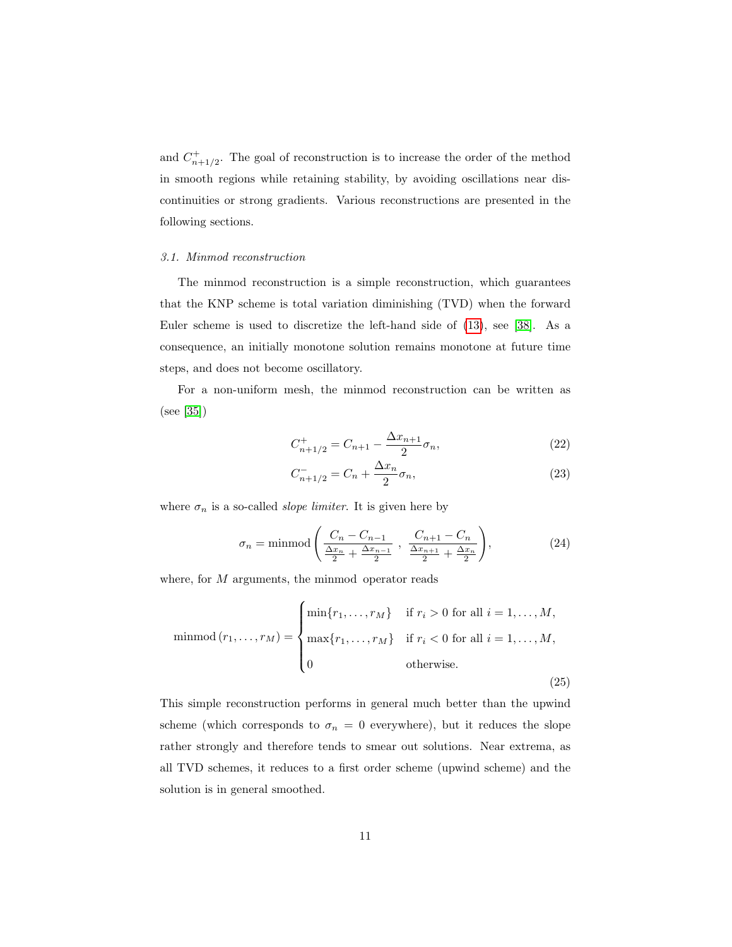and  $C_{n+1/2}^+$ . The goal of reconstruction is to increase the order of the method in smooth regions while retaining stability, by avoiding oscillations near discontinuities or strong gradients. Various reconstructions are presented in the following sections.

#### <span id="page-10-0"></span>3.1. Minmod reconstruction

The minmod reconstruction is a simple reconstruction, which guarantees that the KNP scheme is total variation diminishing (TVD) when the forward Euler scheme is used to discretize the left-hand side of [\(13\)](#page-7-1), see [\[38\]](#page-28-2). As a consequence, an initially monotone solution remains monotone at future time steps, and does not become oscillatory.

For a non-uniform mesh, the minmod reconstruction can be written as (see [\[35\]](#page-27-17))

<span id="page-10-1"></span>
$$
C_{n+1/2}^+ = C_{n+1} - \frac{\Delta x_{n+1}}{2} \sigma_n,\tag{22}
$$

<span id="page-10-2"></span>
$$
C_{n+1/2}^- = C_n + \frac{\Delta x_n}{2} \sigma_n,\tag{23}
$$

where  $\sigma_n$  is a so-called *slope limiter*. It is given here by

$$
\sigma_n = \min \text{mod} \left( \frac{C_n - C_{n-1}}{\frac{\Delta x_n}{2} + \frac{\Delta x_{n-1}}{2}}, \frac{C_{n+1} - C_n}{\frac{\Delta x_{n+1}}{2} + \frac{\Delta x_n}{2}} \right), \tag{24}
$$

where, for M arguments, the minmod operator reads

$$
\text{minmod}(r_1, ..., r_M) = \begin{cases} \text{min}\{r_1, ..., r_M\} & \text{if } r_i > 0 \text{ for all } i = 1, ..., M, \\ \text{max}\{r_1, ..., r_M\} & \text{if } r_i < 0 \text{ for all } i = 1, ..., M, \\ 0 & \text{otherwise.} \end{cases} \tag{25}
$$

This simple reconstruction performs in general much better than the upwind scheme (which corresponds to  $\sigma_n = 0$  everywhere), but it reduces the slope rather strongly and therefore tends to smear out solutions. Near extrema, as all TVD schemes, it reduces to a first order scheme (upwind scheme) and the solution is in general smoothed.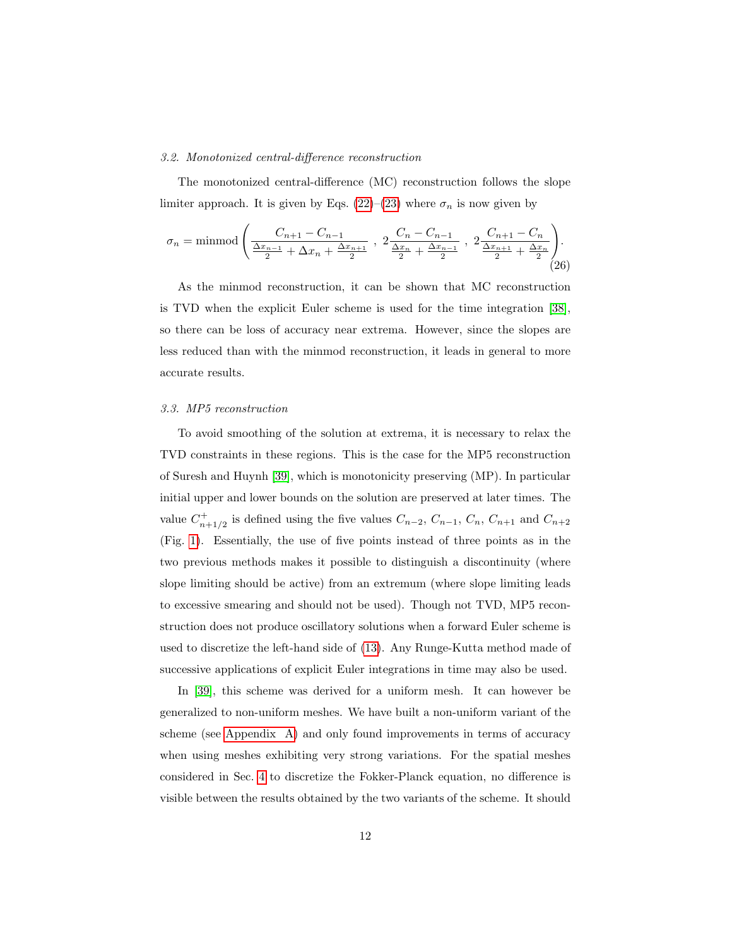#### <span id="page-11-1"></span>3.2. Monotonized central-difference reconstruction

The monotonized central-difference (MC) reconstruction follows the slope limiter approach. It is given by Eqs. [\(22\)](#page-10-1)–[\(23\)](#page-10-2) where  $\sigma_n$  is now given by

$$
\sigma_n = \text{minmod} \left( \frac{C_{n+1} - C_{n-1}}{\frac{\Delta x_{n-1}}{2} + \Delta x_n + \frac{\Delta x_{n+1}}{2}}, \ 2 \frac{C_n - C_{n-1}}{\frac{\Delta x_n}{2} + \frac{\Delta x_{n-1}}{2}}, \ 2 \frac{C_{n+1} - C_n}{\frac{\Delta x_{n+1}}{2} + \frac{\Delta x_n}{2}} \right). \tag{26}
$$

As the minmod reconstruction, it can be shown that MC reconstruction is TVD when the explicit Euler scheme is used for the time integration [\[38\]](#page-28-2), so there can be loss of accuracy near extrema. However, since the slopes are less reduced than with the minmod reconstruction, it leads in general to more accurate results.

### <span id="page-11-0"></span>3.3. MP5 reconstruction

To avoid smoothing of the solution at extrema, it is necessary to relax the TVD constraints in these regions. This is the case for the MP5 reconstruction of Suresh and Huynh [\[39\]](#page-28-3), which is monotonicity preserving (MP). In particular initial upper and lower bounds on the solution are preserved at later times. The value  $C_{n+1/2}^+$  is defined using the five values  $C_{n-2}$ ,  $C_{n-1}$ ,  $C_n$ ,  $C_{n+1}$  and  $C_{n+2}$ (Fig. [1\)](#page-8-0). Essentially, the use of five points instead of three points as in the two previous methods makes it possible to distinguish a discontinuity (where slope limiting should be active) from an extremum (where slope limiting leads to excessive smearing and should not be used). Though not TVD, MP5 reconstruction does not produce oscillatory solutions when a forward Euler scheme is used to discretize the left-hand side of [\(13\)](#page-7-1). Any Runge-Kutta method made of successive applications of explicit Euler integrations in time may also be used.

In [\[39\]](#page-28-3), this scheme was derived for a uniform mesh. It can however be generalized to non-uniform meshes. We have built a non-uniform variant of the scheme (see [Appendix A\)](#page-22-0) and only found improvements in terms of accuracy when using meshes exhibiting very strong variations. For the spatial meshes considered in Sec. [4](#page-12-0) to discretize the Fokker-Planck equation, no difference is visible between the results obtained by the two variants of the scheme. It should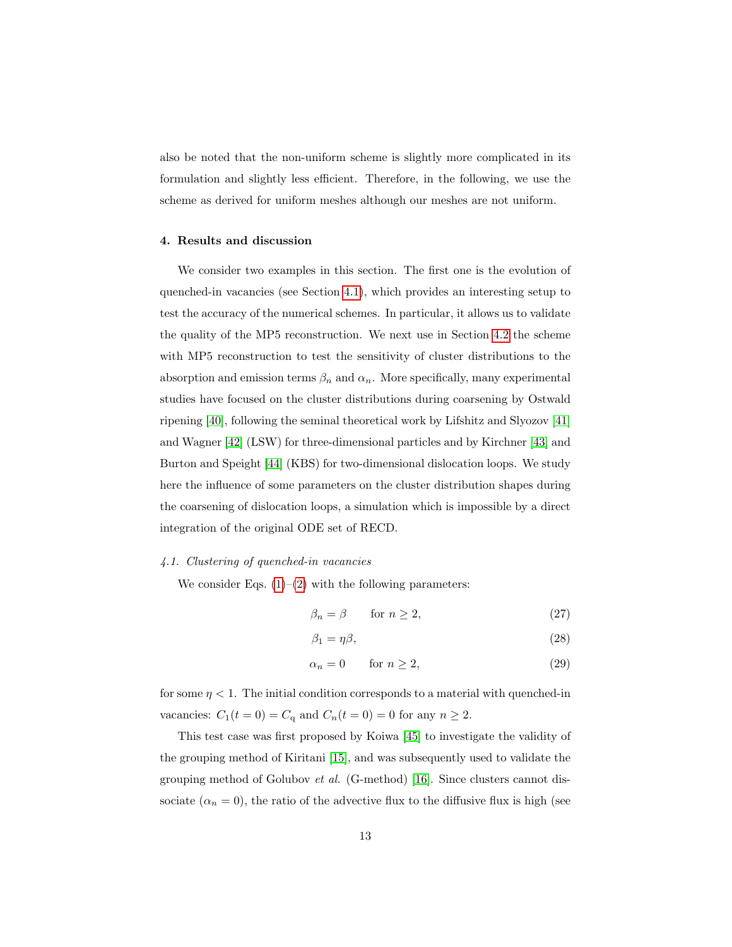also be noted that the non-uniform scheme is slightly more complicated in its formulation and slightly less efficient. Therefore, in the following, we use the scheme as derived for uniform meshes although our meshes are not uniform.

# <span id="page-12-0"></span>4. Results and discussion

We consider two examples in this section. The first one is the evolution of quenched-in vacancies (see Section [4.1\)](#page-12-1), which provides an interesting setup to test the accuracy of the numerical schemes. In particular, it allows us to validate the quality of the MP5 reconstruction. We next use in Section [4.2](#page-16-0) the scheme with MP5 reconstruction to test the sensitivity of cluster distributions to the absorption and emission terms  $\beta_n$  and  $\alpha_n.$  More specifically, many experimental studies have focused on the cluster distributions during coarsening by Ostwald ripening [\[40\]](#page-28-4), following the seminal theoretical work by Lifshitz and Slyozov [\[41\]](#page-28-5) and Wagner [\[42\]](#page-28-6) (LSW) for three-dimensional particles and by Kirchner [\[43\]](#page-28-7) and Burton and Speight [\[44\]](#page-28-8) (KBS) for two-dimensional dislocation loops. We study here the influence of some parameters on the cluster distribution shapes during the coarsening of dislocation loops, a simulation which is impossible by a direct integration of the original ODE set of RECD.

## <span id="page-12-1"></span>4.1. Clustering of quenched-in vacancies

We consider Eqs.  $(1)$ – $(2)$  with the following parameters:

$$
\beta_n = \beta \qquad \text{for } n \ge 2,\tag{27}
$$

$$
\beta_1 = \eta \beta,\tag{28}
$$

$$
\alpha_n = 0 \qquad \text{for } n \ge 2,\tag{29}
$$

for some  $\eta$  < 1. The initial condition corresponds to a material with quenched-in vacancies:  $C_1(t=0) = C_q$  and  $C_n(t=0) = 0$  for any  $n \geq 2$ .

This test case was first proposed by Koiwa [\[45\]](#page-28-9) to investigate the validity of the grouping method of Kiritani [\[15\]](#page-26-14), and was subsequently used to validate the grouping method of Golubov *et al.* (G-method) [\[16\]](#page-26-15). Since clusters cannot dissociate  $(\alpha_n = 0)$ , the ratio of the advective flux to the diffusive flux is high (see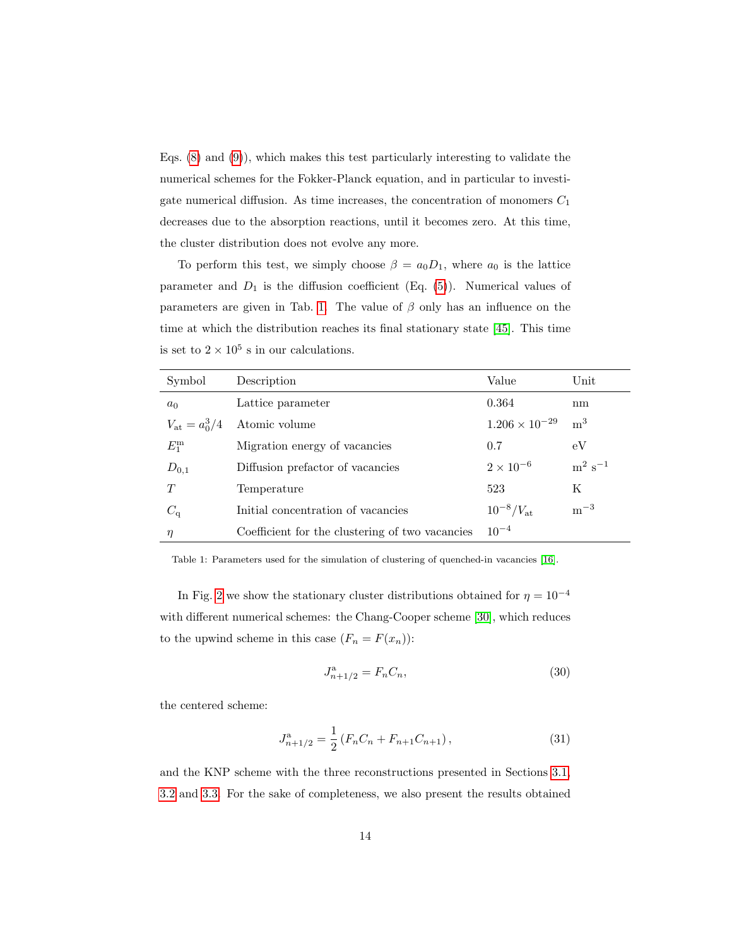Eqs. [\(8\)](#page-4-3) and [\(9\)](#page-4-4)), which makes this test particularly interesting to validate the numerical schemes for the Fokker-Planck equation, and in particular to investigate numerical diffusion. As time increases, the concentration of monomers  $C_1$ decreases due to the absorption reactions, until it becomes zero. At this time, the cluster distribution does not evolve any more.

To perform this test, we simply choose  $\beta = a_0 D_1$ , where  $a_0$  is the lattice parameter and  $D_1$  is the diffusion coefficient (Eq. [\(5\)](#page-4-5)). Numerical values of parameters are given in Tab. [1.](#page-13-0) The value of  $\beta$  only has an influence on the time at which the distribution reaches its final stationary state [\[45\]](#page-28-9). This time is set to  $2 \times 10^5$  s in our calculations.

| Symbol                 | Description                                     | Value                   | Unit                     |
|------------------------|-------------------------------------------------|-------------------------|--------------------------|
| $a_0$                  | Lattice parameter                               | 0.364                   | nm                       |
| $V_{\rm at} = a_0^3/4$ | Atomic volume                                   | $1.206 \times 10^{-29}$ | m <sup>3</sup>           |
| $E_1^{\rm m}$          | Migration energy of vacancies                   | 0.7                     | eV                       |
| $D_{0,1}$              | Diffusion prefactor of vacancies                | $2 \times 10^{-6}$      | $\mathrm{m^{2}\ s^{-1}}$ |
| T                      | Temperature                                     | 523                     | K                        |
| $C_{\rm q}$            | Initial concentration of vacancies              | $10^{-8}/V_{\rm at}$    | $\mathrm{m}^{-3}$        |
| $\eta$                 | Coefficient for the clustering of two vacancies | $10^{-4}$               |                          |

<span id="page-13-0"></span>Table 1: Parameters used for the simulation of clustering of quenched-in vacancies [\[16\]](#page-26-15).

In Fig. [2](#page-14-0) we show the stationary cluster distributions obtained for  $\eta = 10^{-4}$ with different numerical schemes: the Chang-Cooper scheme [\[30\]](#page-27-12), which reduces to the upwind scheme in this case  $(F_n = F(x_n))$ :

$$
J_{n+1/2}^{\mathbf{a}} = F_n C_n,\tag{30}
$$

the centered scheme:

$$
J_{n+1/2}^{\mathbf{a}} = \frac{1}{2} \left( F_n C_n + F_{n+1} C_{n+1} \right), \tag{31}
$$

and the KNP scheme with the three reconstructions presented in Sections [3.1,](#page-10-0) [3.2](#page-11-1) and [3.3.](#page-11-0) For the sake of completeness, we also present the results obtained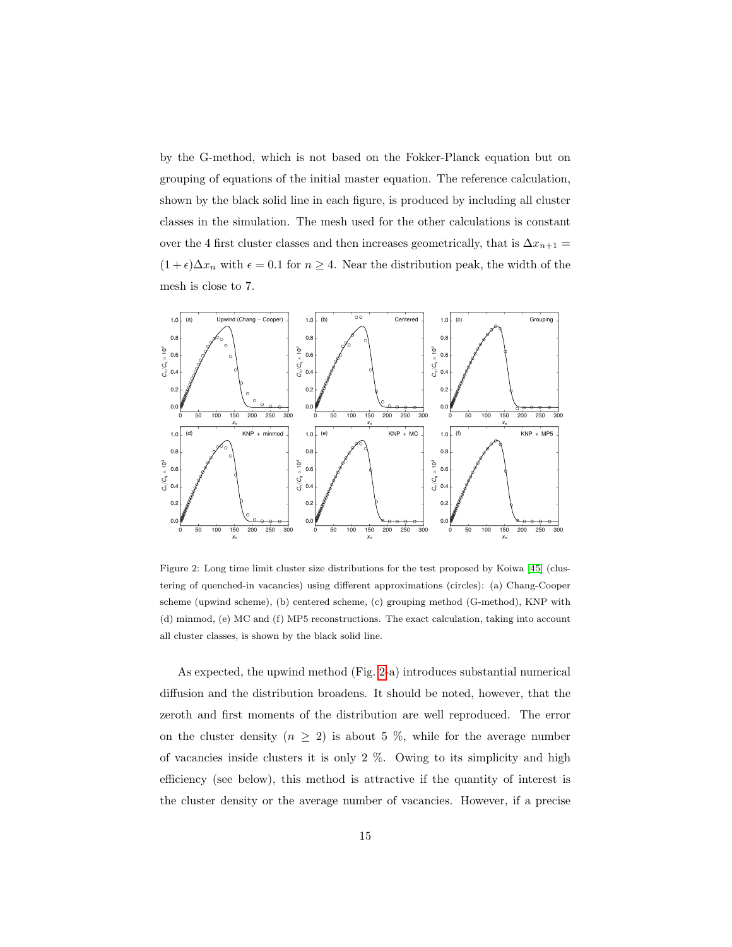by the G-method, which is not based on the Fokker-Planck equation but on grouping of equations of the initial master equation. The reference calculation, shown by the black solid line in each figure, is produced by including all cluster classes in the simulation. The mesh used for the other calculations is constant over the 4 first cluster classes and then increases geometrically, that is  $\Delta x_{n+1} =$  $(1 + \epsilon)\Delta x_n$  with  $\epsilon = 0.1$  for  $n \geq 4$ . Near the distribution peak, the width of the mesh is close to 7.



<span id="page-14-0"></span>Figure 2: Long time limit cluster size distributions for the test proposed by Koiwa [\[45\]](#page-28-9) (clustering of quenched-in vacancies) using different approximations (circles): (a) Chang-Cooper scheme (upwind scheme), (b) centered scheme, (c) grouping method (G-method), KNP with (d) minmod, (e) MC and (f) MP5 reconstructions. The exact calculation, taking into account all cluster classes, is shown by the black solid line.

As expected, the upwind method (Fig. [2-](#page-14-0)a) introduces substantial numerical diffusion and the distribution broadens. It should be noted, however, that the zeroth and first moments of the distribution are well reproduced. The error on the cluster density  $(n \geq 2)$  is about 5 %, while for the average number of vacancies inside clusters it is only 2 %. Owing to its simplicity and high efficiency (see below), this method is attractive if the quantity of interest is the cluster density or the average number of vacancies. However, if a precise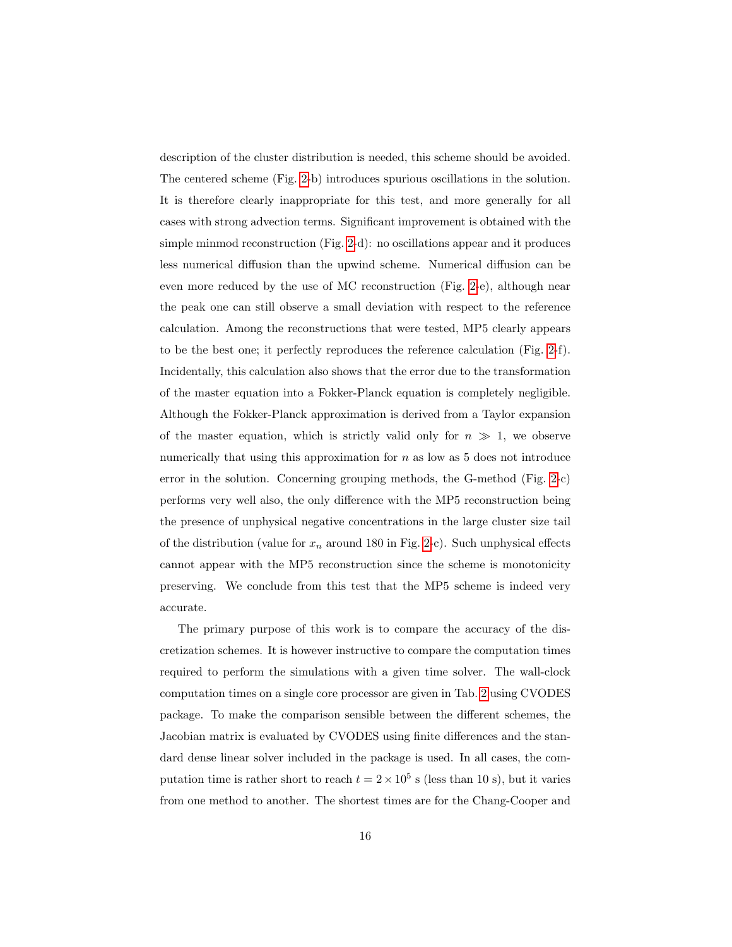description of the cluster distribution is needed, this scheme should be avoided. The centered scheme (Fig. [2-](#page-14-0)b) introduces spurious oscillations in the solution. It is therefore clearly inappropriate for this test, and more generally for all cases with strong advection terms. Significant improvement is obtained with the simple minmod reconstruction (Fig. [2-](#page-14-0)d): no oscillations appear and it produces less numerical diffusion than the upwind scheme. Numerical diffusion can be even more reduced by the use of MC reconstruction (Fig. [2-](#page-14-0)e), although near the peak one can still observe a small deviation with respect to the reference calculation. Among the reconstructions that were tested, MP5 clearly appears to be the best one; it perfectly reproduces the reference calculation (Fig. [2-](#page-14-0)f). Incidentally, this calculation also shows that the error due to the transformation of the master equation into a Fokker-Planck equation is completely negligible. Although the Fokker-Planck approximation is derived from a Taylor expansion of the master equation, which is strictly valid only for  $n \gg 1$ , we observe numerically that using this approximation for  $n$  as low as 5 does not introduce error in the solution. Concerning grouping methods, the G-method (Fig. [2-](#page-14-0)c) performs very well also, the only difference with the MP5 reconstruction being the presence of unphysical negative concentrations in the large cluster size tail of the distribution (value for  $x_n$  around 180 in Fig. [2-](#page-14-0)c). Such unphysical effects cannot appear with the MP5 reconstruction since the scheme is monotonicity preserving. We conclude from this test that the MP5 scheme is indeed very accurate.

The primary purpose of this work is to compare the accuracy of the discretization schemes. It is however instructive to compare the computation times required to perform the simulations with a given time solver. The wall-clock computation times on a single core processor are given in Tab. [2](#page-16-1) using CVODES package. To make the comparison sensible between the different schemes, the Jacobian matrix is evaluated by CVODES using finite differences and the standard dense linear solver included in the package is used. In all cases, the computation time is rather short to reach  $t = 2 \times 10^5$  s (less than 10 s), but it varies from one method to another. The shortest times are for the Chang-Cooper and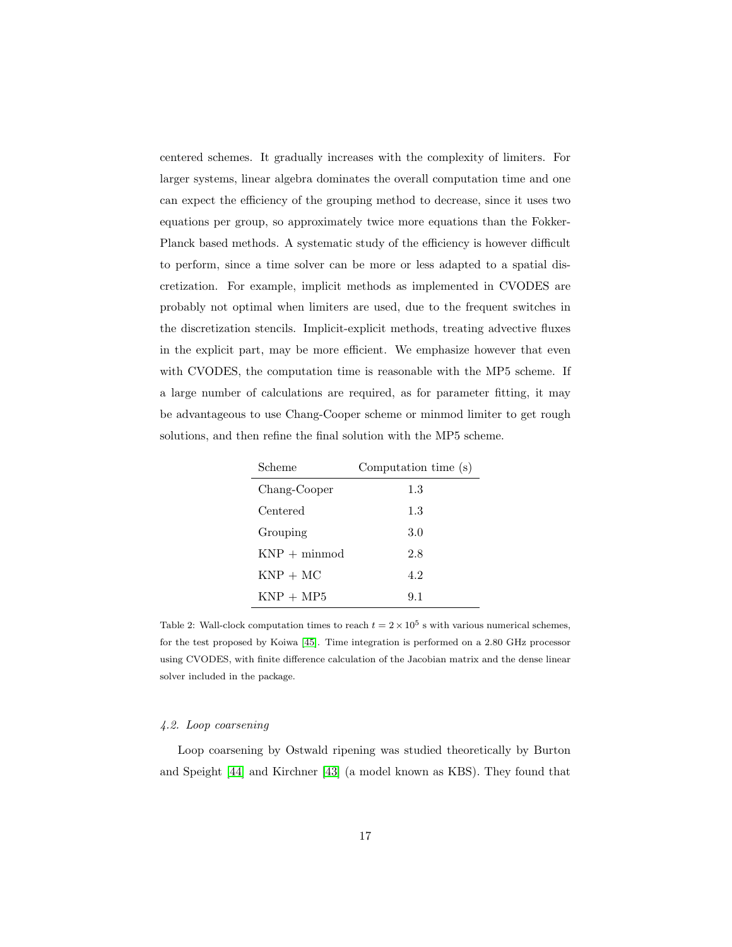centered schemes. It gradually increases with the complexity of limiters. For larger systems, linear algebra dominates the overall computation time and one can expect the efficiency of the grouping method to decrease, since it uses two equations per group, so approximately twice more equations than the Fokker-Planck based methods. A systematic study of the efficiency is however difficult to perform, since a time solver can be more or less adapted to a spatial discretization. For example, implicit methods as implemented in CVODES are probably not optimal when limiters are used, due to the frequent switches in the discretization stencils. Implicit-explicit methods, treating advective fluxes in the explicit part, may be more efficient. We emphasize however that even with CVODES, the computation time is reasonable with the MP5 scheme. If a large number of calculations are required, as for parameter fitting, it may be advantageous to use Chang-Cooper scheme or minmod limiter to get rough solutions, and then refine the final solution with the MP5 scheme.

| Scheme         | Computation time (s) |
|----------------|----------------------|
| Chang-Cooper   | 1.3                  |
| Centered       | 1.3                  |
| Grouping       | 3.0                  |
| $KNP + minmod$ | 2.8                  |
| $KNP + MC$     | 4.2                  |
| $KNP + MP5$    | 9.1                  |

<span id="page-16-1"></span>Table 2: Wall-clock computation times to reach  $t = 2 \times 10^5$  s with various numerical schemes, for the test proposed by Koiwa [\[45\]](#page-28-9). Time integration is performed on a 2.80 GHz processor using CVODES, with finite difference calculation of the Jacobian matrix and the dense linear solver included in the package.

## <span id="page-16-0"></span>4.2. Loop coarsening

Loop coarsening by Ostwald ripening was studied theoretically by Burton and Speight [\[44\]](#page-28-8) and Kirchner [\[43\]](#page-28-7) (a model known as KBS). They found that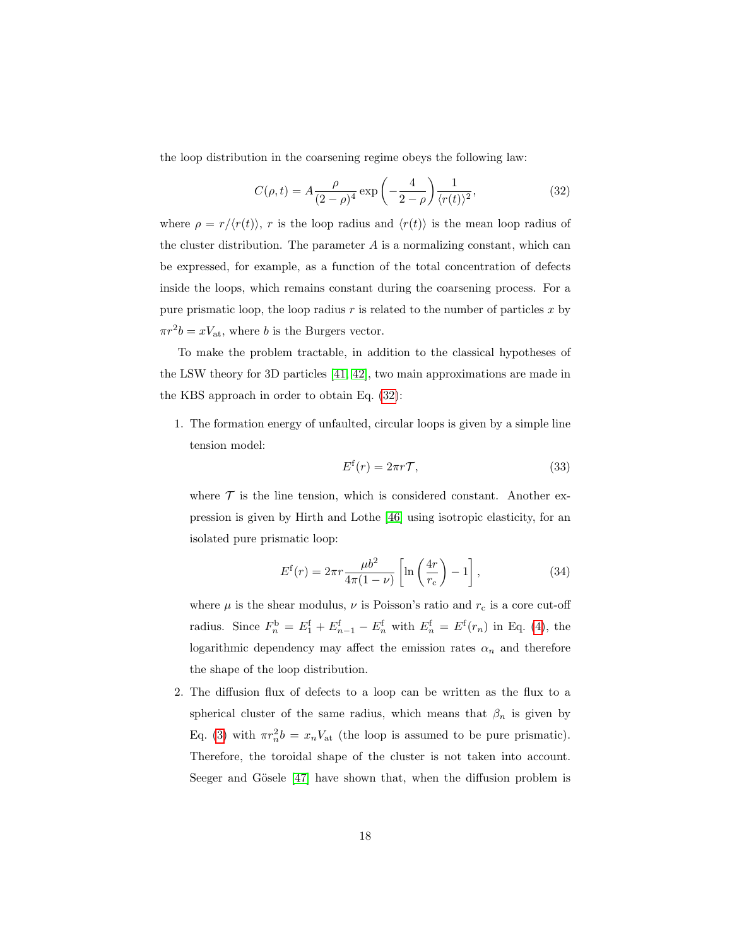the loop distribution in the coarsening regime obeys the following law:

<span id="page-17-0"></span>
$$
C(\rho, t) = A \frac{\rho}{(2 - \rho)^4} \exp\left(-\frac{4}{2 - \rho}\right) \frac{1}{\langle r(t) \rangle^2},\tag{32}
$$

where  $\rho = r/\langle r(t) \rangle$ , r is the loop radius and  $\langle r(t) \rangle$  is the mean loop radius of the cluster distribution. The parameter  $A$  is a normalizing constant, which can be expressed, for example, as a function of the total concentration of defects inside the loops, which remains constant during the coarsening process. For a pure prismatic loop, the loop radius  $r$  is related to the number of particles  $x$  by  $\pi r^2 b = x V_{\text{at}}$ , where b is the Burgers vector.

To make the problem tractable, in addition to the classical hypotheses of the LSW theory for 3D particles [\[41,](#page-28-5) [42\]](#page-28-6), two main approximations are made in the KBS approach in order to obtain Eq. [\(32\)](#page-17-0):

1. The formation energy of unfaulted, circular loops is given by a simple line tension model:

<span id="page-17-2"></span><span id="page-17-1"></span>
$$
E^{\rm f}(r) = 2\pi r \mathcal{T},\tag{33}
$$

where  $\mathcal T$  is the line tension, which is considered constant. Another expression is given by Hirth and Lothe [\[46\]](#page-28-10) using isotropic elasticity, for an isolated pure prismatic loop:

$$
E^{f}(r) = 2\pi r \frac{\mu b^{2}}{4\pi (1-\nu)} \left[ \ln \left( \frac{4r}{r_{c}} \right) - 1 \right],
$$
 (34)

where  $\mu$  is the shear modulus,  $\nu$  is Poisson's ratio and  $r_c$  is a core cut-off radius. Since  $F_n^b = E_1^f + E_{n-1}^f - E_n^f$  with  $E_n^f = E^f(r_n)$  in Eq. [\(4\)](#page-4-1), the logarithmic dependency may affect the emission rates  $\alpha_n$  and therefore the shape of the loop distribution.

2. The diffusion flux of defects to a loop can be written as the flux to a spherical cluster of the same radius, which means that  $\beta_n$  is given by Eq. [\(3\)](#page-4-0) with  $\pi r_n^2 b = x_n V_{\rm at}$  (the loop is assumed to be pure prismatic). Therefore, the toroidal shape of the cluster is not taken into account. Seeger and Gösele [\[47\]](#page-28-11) have shown that, when the diffusion problem is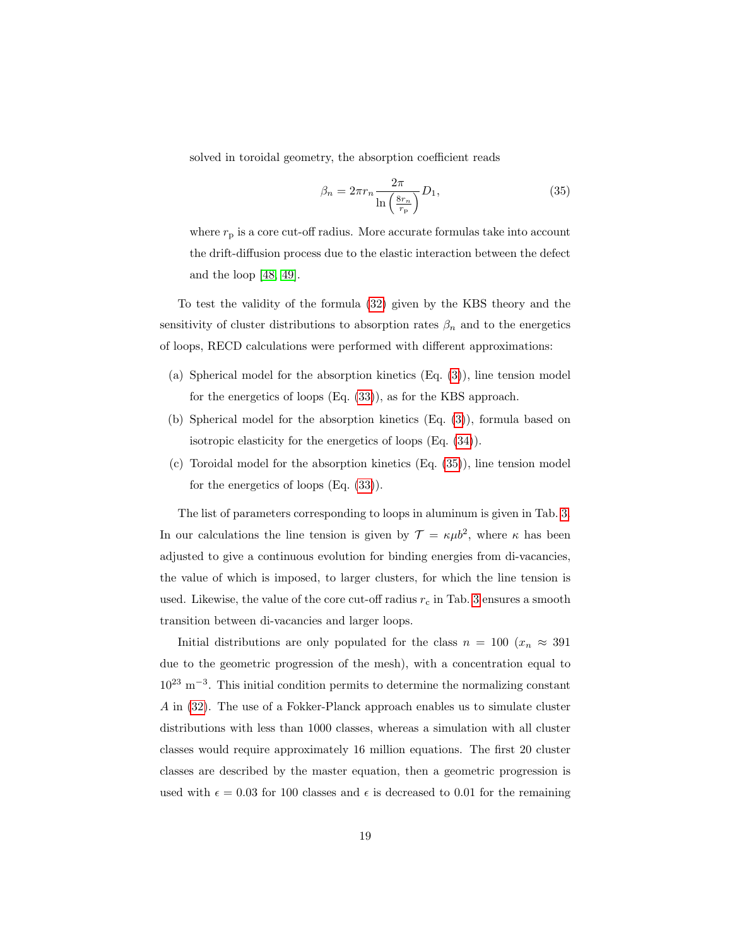solved in toroidal geometry, the absorption coefficient reads

<span id="page-18-0"></span>
$$
\beta_n = 2\pi r_n \frac{2\pi}{\ln\left(\frac{8r_n}{r_p}\right)} D_1,\tag{35}
$$

where  $r_p$  is a core cut-off radius. More accurate formulas take into account the drift-diffusion process due to the elastic interaction between the defect and the loop [\[48,](#page-28-12) [49\]](#page-28-13).

To test the validity of the formula [\(32\)](#page-17-0) given by the KBS theory and the sensitivity of cluster distributions to absorption rates  $\beta_n$  and to the energetics of loops, RECD calculations were performed with different approximations:

- (a) Spherical model for the absorption kinetics (Eq. [\(3\)](#page-4-0)), line tension model for the energetics of loops (Eq. [\(33\)](#page-17-1)), as for the KBS approach.
- (b) Spherical model for the absorption kinetics (Eq. [\(3\)](#page-4-0)), formula based on isotropic elasticity for the energetics of loops (Eq. [\(34\)](#page-17-2)).
- (c) Toroidal model for the absorption kinetics (Eq. [\(35\)](#page-18-0)), line tension model for the energetics of loops (Eq. [\(33\)](#page-17-1)).

The list of parameters corresponding to loops in aluminum is given in Tab. [3.](#page-19-0) In our calculations the line tension is given by  $\mathcal{T} = \kappa \mu b^2$ , where  $\kappa$  has been adjusted to give a continuous evolution for binding energies from di-vacancies, the value of which is imposed, to larger clusters, for which the line tension is used. Likewise, the value of the core cut-off radius  $r_c$  in Tab. [3](#page-19-0) ensures a smooth transition between di-vacancies and larger loops.

Initial distributions are only populated for the class  $n = 100$  ( $x_n \approx 391$ ) due to the geometric progression of the mesh), with a concentration equal to  $10^{23}$  m<sup>-3</sup>. This initial condition permits to determine the normalizing constant A in [\(32\)](#page-17-0). The use of a Fokker-Planck approach enables us to simulate cluster distributions with less than 1000 classes, whereas a simulation with all cluster classes would require approximately 16 million equations. The first 20 cluster classes are described by the master equation, then a geometric progression is used with  $\epsilon = 0.03$  for 100 classes and  $\epsilon$  is decreased to 0.01 for the remaining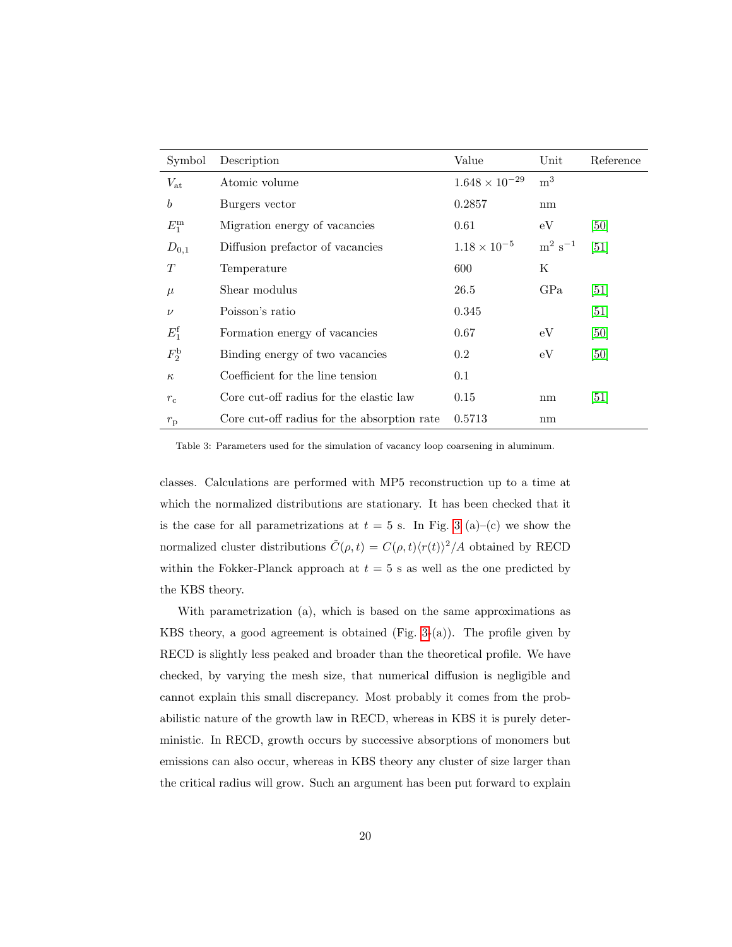| Symbol           | Description                                 | Value                   | Unit                              | Reference         |
|------------------|---------------------------------------------|-------------------------|-----------------------------------|-------------------|
| $V_{\rm at}$     | Atomic volume                               | $1.648 \times 10^{-29}$ | m <sup>3</sup>                    |                   |
| $\boldsymbol{b}$ | Burgers vector                              | 0.2857                  | nm                                |                   |
| $E_1^{\rm m}$    | Migration energy of vacancies               | 0.61                    | eV                                | [50]              |
| $D_{0,1}$        | Diffusion prefactor of vacancies            | $1.18 \times 10^{-5}$   | $\mathrm{m}^{2} \mathrm{~s}^{-1}$ | [51]              |
| T                | Temperature                                 | 600                     | Κ                                 |                   |
| $\mu$            | Shear modulus                               | 26.5                    | GPa                               | [51]              |
| $\nu$            | Poisson's ratio                             | 0.345                   |                                   | [51]              |
| $E_1^f$          | Formation energy of vacancies               | 0.67                    | eV                                | [50]              |
| $F_2^{\rm b}$    | Binding energy of two vacancies             | 0.2                     | eV                                | [50]              |
| $\kappa$         | Coefficient for the line tension            | 0.1                     |                                   |                   |
| $r_{\rm c}$      | Core cut-off radius for the elastic law     | 0.15                    | nm                                | $\left[51\right]$ |
| $r_{\rm p}$      | Core cut-off radius for the absorption rate | 0.5713                  | nm                                |                   |

<span id="page-19-0"></span>Table 3: Parameters used for the simulation of vacancy loop coarsening in aluminum.

classes. Calculations are performed with MP5 reconstruction up to a time at which the normalized distributions are stationary. It has been checked that it is the case for all parametrizations at  $t = 5$  s. In Fig. [3](#page-20-0) (a)–(c) we show the normalized cluster distributions  $\tilde{C}(\rho, t) = C(\rho, t)\langle r(t)\rangle^2/A$  obtained by RECD within the Fokker-Planck approach at  $t = 5$  s as well as the one predicted by the KBS theory.

With parametrization (a), which is based on the same approximations as KBS theory, a good agreement is obtained (Fig. [3-](#page-20-0)(a)). The profile given by RECD is slightly less peaked and broader than the theoretical profile. We have checked, by varying the mesh size, that numerical diffusion is negligible and cannot explain this small discrepancy. Most probably it comes from the probabilistic nature of the growth law in RECD, whereas in KBS it is purely deterministic. In RECD, growth occurs by successive absorptions of monomers but emissions can also occur, whereas in KBS theory any cluster of size larger than the critical radius will grow. Such an argument has been put forward to explain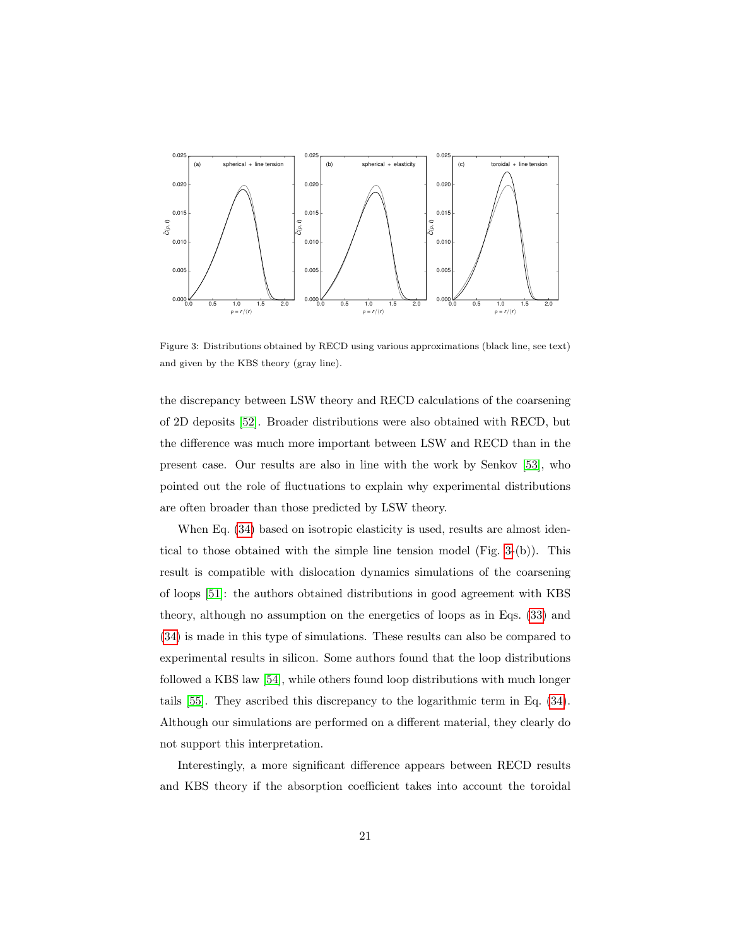

<span id="page-20-0"></span>Figure 3: Distributions obtained by RECD using various approximations (black line, see text) and given by the KBS theory (gray line).

the discrepancy between LSW theory and RECD calculations of the coarsening of 2D deposits [\[52\]](#page-28-16). Broader distributions were also obtained with RECD, but the difference was much more important between LSW and RECD than in the present case. Our results are also in line with the work by Senkov [\[53\]](#page-28-17), who pointed out the role of fluctuations to explain why experimental distributions are often broader than those predicted by LSW theory.

When Eq.  $(34)$  based on isotropic elasticity is used, results are almost identical to those obtained with the simple line tension model (Fig. [3-](#page-20-0)(b)). This result is compatible with dislocation dynamics simulations of the coarsening of loops [\[51\]](#page-28-15): the authors obtained distributions in good agreement with KBS theory, although no assumption on the energetics of loops as in Eqs. [\(33\)](#page-17-1) and [\(34\)](#page-17-2) is made in this type of simulations. These results can also be compared to experimental results in silicon. Some authors found that the loop distributions followed a KBS law [\[54\]](#page-29-0), while others found loop distributions with much longer tails [\[55\]](#page-29-1). They ascribed this discrepancy to the logarithmic term in Eq. [\(34\)](#page-17-2). Although our simulations are performed on a different material, they clearly do not support this interpretation.

Interestingly, a more significant difference appears between RECD results and KBS theory if the absorption coefficient takes into account the toroidal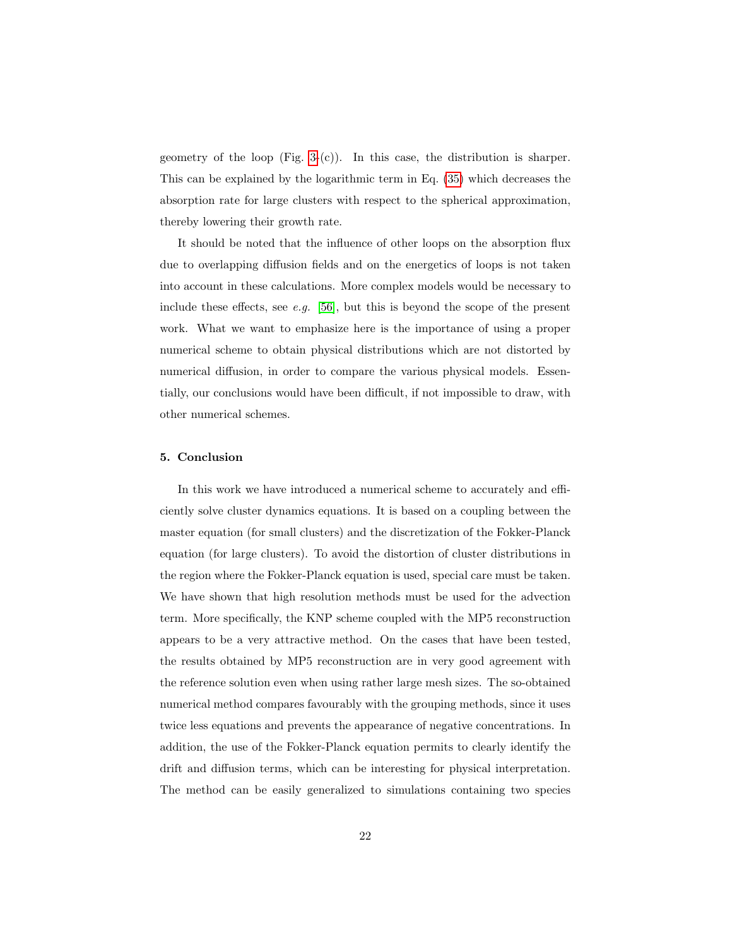geometry of the loop  $(Fig. 3-(c))$  $(Fig. 3-(c))$  $(Fig. 3-(c))$ . In this case, the distribution is sharper. This can be explained by the logarithmic term in Eq. [\(35\)](#page-18-0) which decreases the absorption rate for large clusters with respect to the spherical approximation, thereby lowering their growth rate.

It should be noted that the influence of other loops on the absorption flux due to overlapping diffusion fields and on the energetics of loops is not taken into account in these calculations. More complex models would be necessary to include these effects, see e.g.  $[56]$ , but this is beyond the scope of the present work. What we want to emphasize here is the importance of using a proper numerical scheme to obtain physical distributions which are not distorted by numerical diffusion, in order to compare the various physical models. Essentially, our conclusions would have been difficult, if not impossible to draw, with other numerical schemes.

#### <span id="page-21-0"></span>5. Conclusion

In this work we have introduced a numerical scheme to accurately and efficiently solve cluster dynamics equations. It is based on a coupling between the master equation (for small clusters) and the discretization of the Fokker-Planck equation (for large clusters). To avoid the distortion of cluster distributions in the region where the Fokker-Planck equation is used, special care must be taken. We have shown that high resolution methods must be used for the advection term. More specifically, the KNP scheme coupled with the MP5 reconstruction appears to be a very attractive method. On the cases that have been tested, the results obtained by MP5 reconstruction are in very good agreement with the reference solution even when using rather large mesh sizes. The so-obtained numerical method compares favourably with the grouping methods, since it uses twice less equations and prevents the appearance of negative concentrations. In addition, the use of the Fokker-Planck equation permits to clearly identify the drift and diffusion terms, which can be interesting for physical interpretation. The method can be easily generalized to simulations containing two species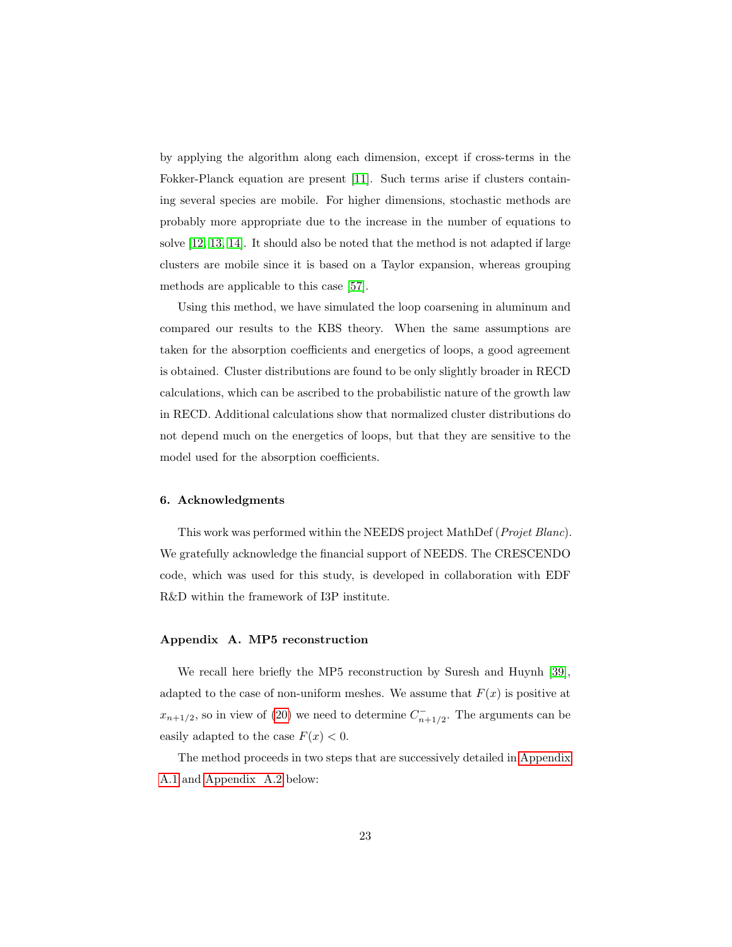by applying the algorithm along each dimension, except if cross-terms in the Fokker-Planck equation are present [\[11\]](#page-26-10). Such terms arise if clusters containing several species are mobile. For higher dimensions, stochastic methods are probably more appropriate due to the increase in the number of equations to solve [\[12,](#page-26-11) [13,](#page-26-12) [14\]](#page-26-13). It should also be noted that the method is not adapted if large clusters are mobile since it is based on a Taylor expansion, whereas grouping methods are applicable to this case [\[57\]](#page-29-3).

Using this method, we have simulated the loop coarsening in aluminum and compared our results to the KBS theory. When the same assumptions are taken for the absorption coefficients and energetics of loops, a good agreement is obtained. Cluster distributions are found to be only slightly broader in RECD calculations, which can be ascribed to the probabilistic nature of the growth law in RECD. Additional calculations show that normalized cluster distributions do not depend much on the energetics of loops, but that they are sensitive to the model used for the absorption coefficients.

## 6. Acknowledgments

This work was performed within the NEEDS project MathDef (Projet Blanc). We gratefully acknowledge the financial support of NEEDS. The CRESCENDO code, which was used for this study, is developed in collaboration with EDF R&D within the framework of I3P institute.

#### <span id="page-22-0"></span>Appendix A. MP5 reconstruction

We recall here briefly the MP5 reconstruction by Suresh and Huynh [\[39\]](#page-28-3), adapted to the case of non-uniform meshes. We assume that  $F(x)$  is positive at  $x_{n+1/2}$ , so in view of [\(20\)](#page-9-0) we need to determine  $C_{n+1/2}^-$ . The arguments can be easily adapted to the case  $F(x) < 0$ .

The method proceeds in two steps that are successively detailed in [Appendix](#page-23-0) [A.1](#page-23-0) and [Appendix A.2](#page-24-0) below: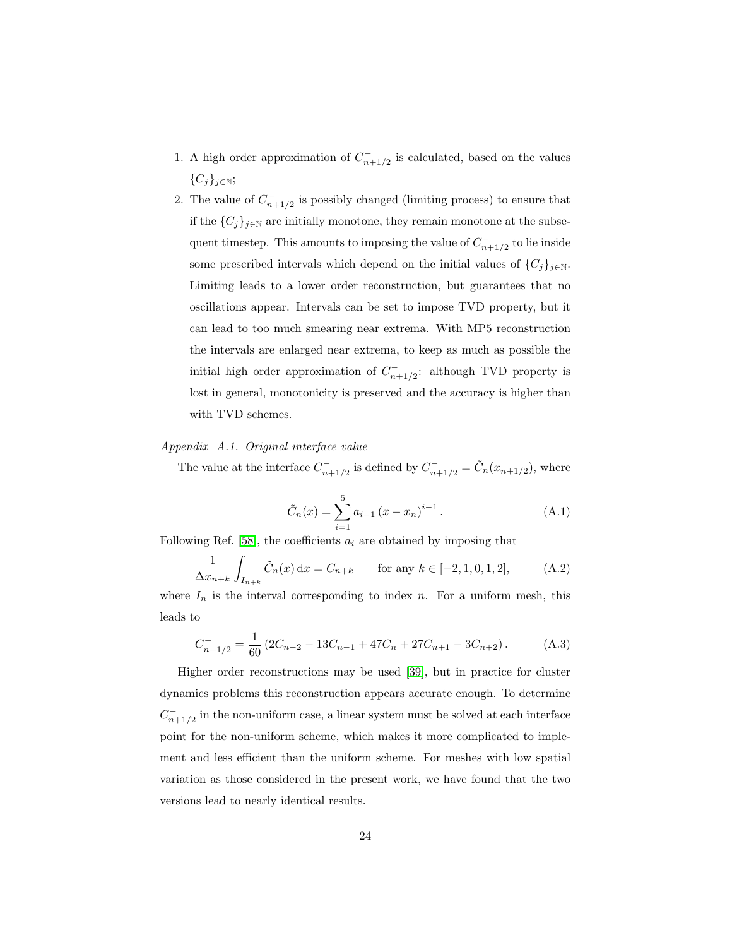- 1. A high order approximation of  $C_{n+1/2}^-$  is calculated, based on the values  $\{C_j\}_{j\in\mathbb{N}};$
- 2. The value of  $C_{n+1/2}^-$  is possibly changed (limiting process) to ensure that if the  $\{C_j\}_{j\in\mathbb{N}}$  are initially monotone, they remain monotone at the subsequent timestep. This amounts to imposing the value of  $C_{n+1/2}^-$  to lie inside some prescribed intervals which depend on the initial values of  $\{C_j\}_{j\in\mathbb{N}}$ . Limiting leads to a lower order reconstruction, but guarantees that no oscillations appear. Intervals can be set to impose TVD property, but it can lead to too much smearing near extrema. With MP5 reconstruction the intervals are enlarged near extrema, to keep as much as possible the initial high order approximation of  $C_{n+1/2}^-$ : although TVD property is lost in general, monotonicity is preserved and the accuracy is higher than with TVD schemes.

# <span id="page-23-0"></span>Appendix A.1. Original interface value

The value at the interface  $C_{n+1/2}^-$  is defined by  $C_{n+1/2}^- = \tilde{C}_n(x_{n+1/2})$ , where

$$
\tilde{C}_n(x) = \sum_{i=1}^{5} a_{i-1} (x - x_n)^{i-1}.
$$
\n(A.1)

Following Ref. [\[58\]](#page-29-4), the coefficients  $a_i$  are obtained by imposing that

$$
\frac{1}{\Delta x_{n+k}} \int_{I_{n+k}} \tilde{C}_n(x) dx = C_{n+k} \quad \text{for any } k \in [-2, 1, 0, 1, 2], \quad (A.2)
$$

where  $I_n$  is the interval corresponding to index n. For a uniform mesh, this leads to

$$
C_{n+1/2}^- = \frac{1}{60} \left( 2C_{n-2} - 13C_{n-1} + 47C_n + 27C_{n+1} - 3C_{n+2} \right). \tag{A.3}
$$

Higher order reconstructions may be used [\[39\]](#page-28-3), but in practice for cluster dynamics problems this reconstruction appears accurate enough. To determine  $C_{n+1/2}^-$  in the non-uniform case, a linear system must be solved at each interface point for the non-uniform scheme, which makes it more complicated to implement and less efficient than the uniform scheme. For meshes with low spatial variation as those considered in the present work, we have found that the two versions lead to nearly identical results.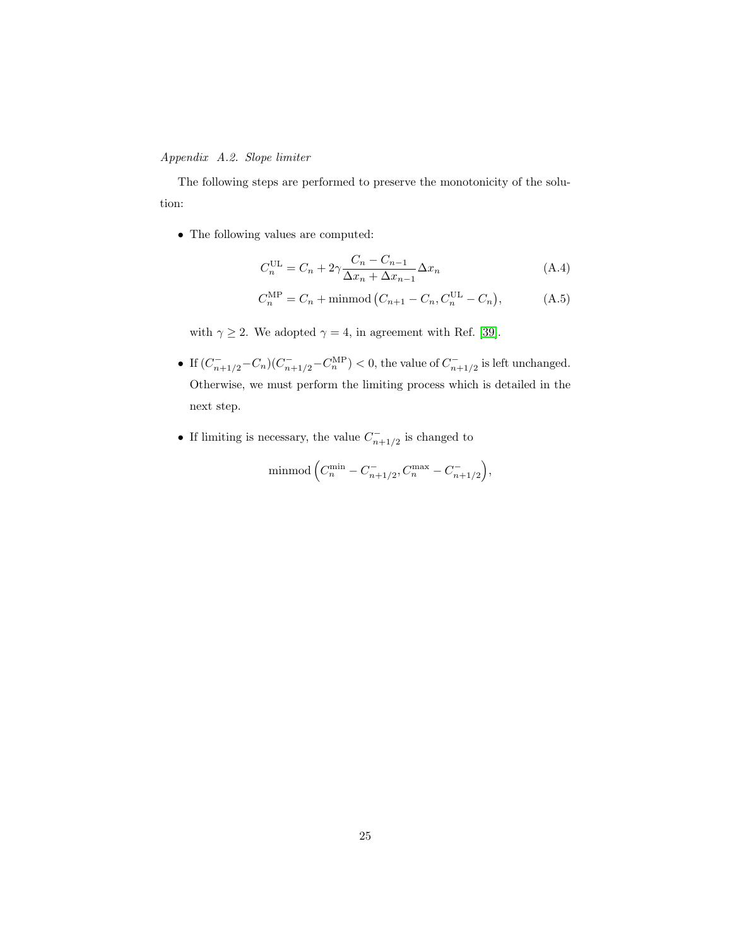# <span id="page-24-0"></span>Appendix A.2. Slope limiter

The following steps are performed to preserve the monotonicity of the solution:

• The following values are computed:

$$
C_n^{\text{UL}} = C_n + 2\gamma \frac{C_n - C_{n-1}}{\Delta x_n + \Delta x_{n-1}} \Delta x_n
$$
 (A.4)

$$
C_n^{\text{MP}} = C_n + \text{minmod} \left( C_{n+1} - C_n, C_n^{\text{UL}} - C_n \right), \tag{A.5}
$$

with  $\gamma \geq 2$ . We adopted  $\gamma = 4$ , in agreement with Ref. [\[39\]](#page-28-3).

- If  $(C_{n+1/2}^- C_n) (C_{n+1/2}^- C_n^{\text{MP}}) < 0$ , the value of  $C_{n+1/2}^-$  is left unchanged. Otherwise, we must perform the limiting process which is detailed in the next step.
- If limiting is necessary, the value  $C_{n+1/2}^-$  is changed to

$$
\text{minmod}\left(C_n^{\min} - C_{n+1/2}^-, C_n^{\max} - C_{n+1/2}^-\right),\right)
$$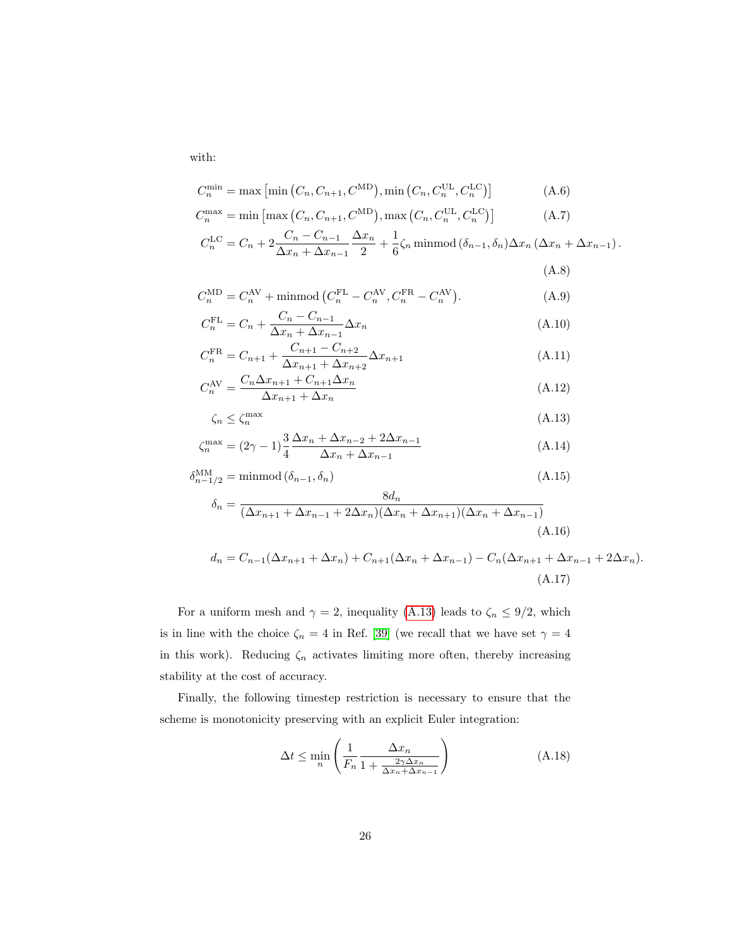with:

$$
C_n^{\min} = \max\left[\min\left(C_n, C_{n+1}, C^{\text{MD}}\right), \min\left(C_n, C_n^{\text{UL}}, C_n^{\text{LC}}\right)\right]
$$
(A.6)

$$
C_n^{\max} = \min\left[\max\left(C_n, C_{n+1}, C^{\text{MD}}\right), \max\left(C_n, C_n^{\text{UL}}, C_n^{\text{LC}}\right)\right]
$$
(A.7)

$$
C_n^{\text{LC}} = C_n + 2 \frac{C_n - C_{n-1}}{\Delta x_n + \Delta x_{n-1}} \frac{\Delta x_n}{2} + \frac{1}{6} \zeta_n \text{ minmod} \left( \delta_{n-1}, \delta_n \right) \Delta x_n \left( \Delta x_n + \Delta x_{n-1} \right).
$$

<span id="page-25-0"></span>
$$
(\mathrm{A.8})
$$

$$
C_n^{\text{MD}} = C_n^{\text{AV}} + \text{minmod} \left( C_n^{\text{FL}} - C_n^{\text{AV}}, C_n^{\text{FR}} - C_n^{\text{AV}} \right). \tag{A.9}
$$

$$
C_n^{\text{FL}} = C_n + \frac{C_n - C_{n-1}}{\Delta x_n + \Delta x_{n-1}} \Delta x_n
$$
\n(A.10)

$$
C_n^{\text{FR}} = C_{n+1} + \frac{C_{n+1} - C_{n+2}}{\Delta x_{n+1} + \Delta x_{n+2}} \Delta x_{n+1}
$$
\n(A.11)

$$
C_n^{\text{AV}} = \frac{C_n \Delta x_{n+1} + C_{n+1} \Delta x_n}{\Delta x_{n+1} + \Delta x_n} \tag{A.12}
$$

$$
\zeta_n \le \zeta_n^{\max} \tag{A.13}
$$

$$
\zeta_n^{\max} = (2\gamma - 1)\frac{3}{4} \frac{\Delta x_n + \Delta x_{n-2} + 2\Delta x_{n-1}}{\Delta x_n + \Delta x_{n-1}}
$$
\n(A.14)

$$
\delta_{n-1/2}^{\text{MM}} = \text{minmod} \ (\delta_{n-1}, \delta_n)
$$
\n
$$
\delta_n = \frac{8d_n}{(\Delta x_{n+1} + \Delta x_{n-1} + 2\Delta x_n)(\Delta x_n + \Delta x_{n+1})(\Delta x_n + \Delta x_{n-1})}
$$
\n(A.16)

$$
d_n = C_{n-1}(\Delta x_{n+1} + \Delta x_n) + C_{n+1}(\Delta x_n + \Delta x_{n-1}) - C_n(\Delta x_{n+1} + \Delta x_{n-1} + 2\Delta x_n).
$$
\n(A.17)

For a uniform mesh and  $\gamma = 2$ , inequality [\(A.13\)](#page-25-0) leads to  $\zeta_n \leq 9/2$ , which is in line with the choice  $\zeta_n=4$  in Ref. [\[39\]](#page-28-3) (we recall that we have set  $\gamma=4$ in this work). Reducing  $\zeta_n$  activates limiting more often, thereby increasing stability at the cost of accuracy.

Finally, the following timestep restriction is necessary to ensure that the scheme is monotonicity preserving with an explicit Euler integration:

$$
\Delta t \le \min_{n} \left( \frac{1}{F_n} \frac{\Delta x_n}{1 + \frac{2\gamma \Delta x_n}{\Delta x_n + \Delta x_{n-1}}} \right) \tag{A.18}
$$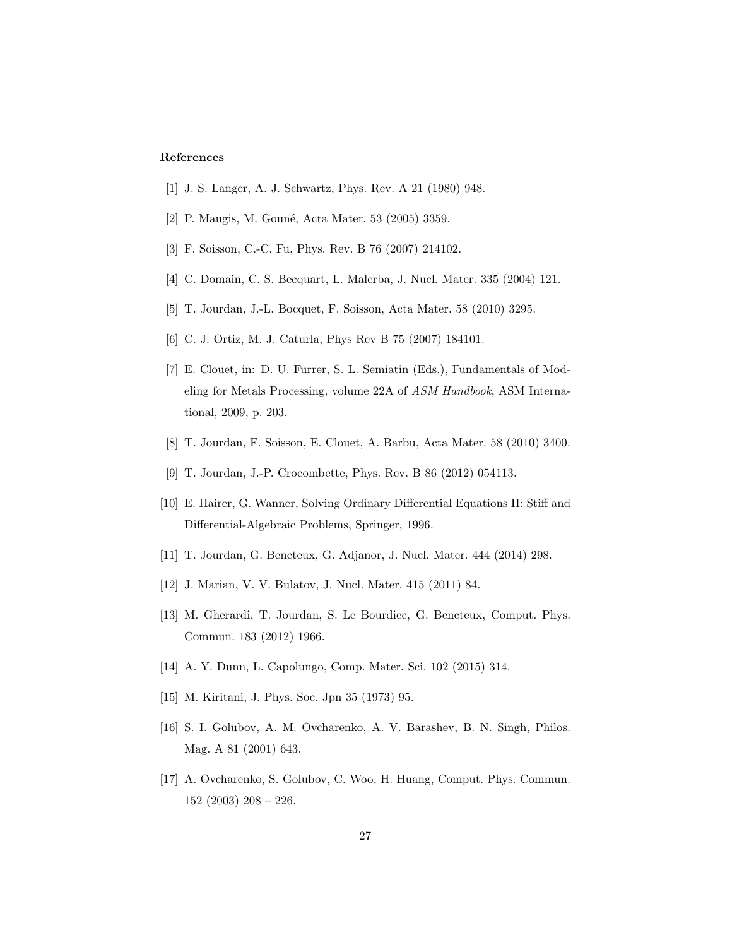## References

- <span id="page-26-0"></span>[1] J. S. Langer, A. J. Schwartz, Phys. Rev. A 21 (1980) 948.
- <span id="page-26-1"></span>[2] P. Maugis, M. Gouné, Acta Mater. 53 (2005) 3359.
- <span id="page-26-2"></span>[3] F. Soisson, C.-C. Fu, Phys. Rev. B 76 (2007) 214102.
- <span id="page-26-3"></span>[4] C. Domain, C. S. Becquart, L. Malerba, J. Nucl. Mater. 335 (2004) 121.
- <span id="page-26-4"></span>[5] T. Jourdan, J.-L. Bocquet, F. Soisson, Acta Mater. 58 (2010) 3295.
- <span id="page-26-5"></span>[6] C. J. Ortiz, M. J. Caturla, Phys Rev B 75 (2007) 184101.
- <span id="page-26-6"></span>[7] E. Clouet, in: D. U. Furrer, S. L. Semiatin (Eds.), Fundamentals of Modeling for Metals Processing, volume 22A of ASM Handbook, ASM International, 2009, p. 203.
- <span id="page-26-7"></span>[8] T. Jourdan, F. Soisson, E. Clouet, A. Barbu, Acta Mater. 58 (2010) 3400.
- <span id="page-26-8"></span>[9] T. Jourdan, J.-P. Crocombette, Phys. Rev. B 86 (2012) 054113.
- <span id="page-26-9"></span>[10] E. Hairer, G. Wanner, Solving Ordinary Differential Equations II: Stiff and Differential-Algebraic Problems, Springer, 1996.
- <span id="page-26-10"></span>[11] T. Jourdan, G. Bencteux, G. Adjanor, J. Nucl. Mater. 444 (2014) 298.
- <span id="page-26-11"></span>[12] J. Marian, V. V. Bulatov, J. Nucl. Mater. 415 (2011) 84.
- <span id="page-26-12"></span>[13] M. Gherardi, T. Jourdan, S. Le Bourdiec, G. Bencteux, Comput. Phys. Commun. 183 (2012) 1966.
- <span id="page-26-13"></span>[14] A. Y. Dunn, L. Capolungo, Comp. Mater. Sci. 102 (2015) 314.
- <span id="page-26-14"></span>[15] M. Kiritani, J. Phys. Soc. Jpn 35 (1973) 95.
- <span id="page-26-15"></span>[16] S. I. Golubov, A. M. Ovcharenko, A. V. Barashev, B. N. Singh, Philos. Mag. A 81 (2001) 643.
- <span id="page-26-16"></span>[17] A. Ovcharenko, S. Golubov, C. Woo, H. Huang, Comput. Phys. Commun. 152 (2003) 208 – 226.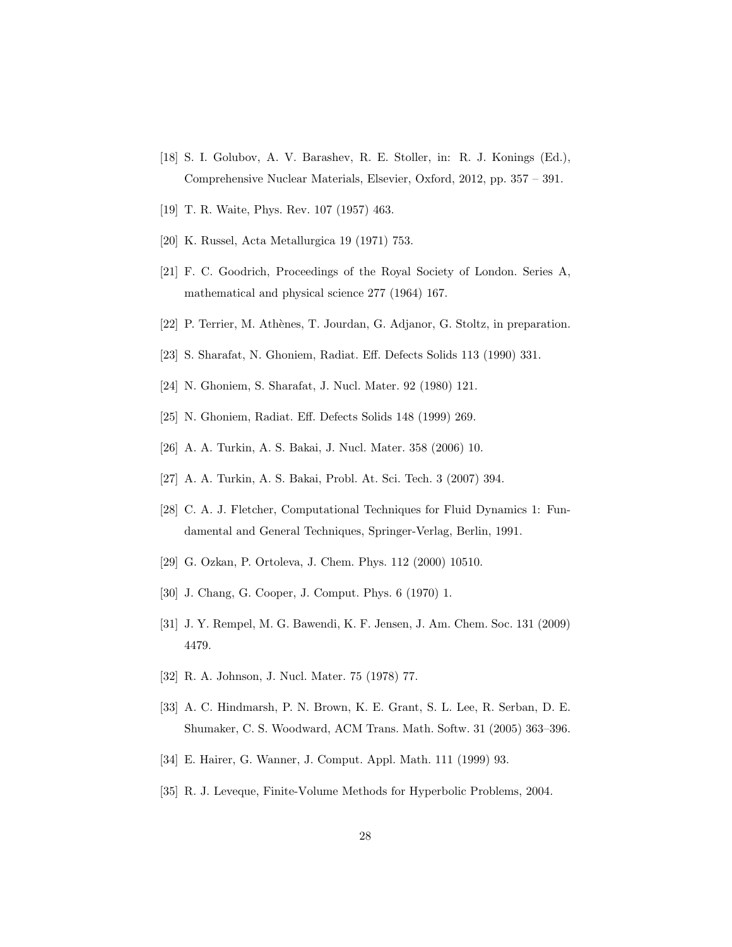- <span id="page-27-0"></span>[18] S. I. Golubov, A. V. Barashev, R. E. Stoller, in: R. J. Konings (Ed.), Comprehensive Nuclear Materials, Elsevier, Oxford, 2012, pp. 357 – 391.
- <span id="page-27-1"></span>[19] T. R. Waite, Phys. Rev. 107 (1957) 463.
- <span id="page-27-2"></span>[20] K. Russel, Acta Metallurgica 19 (1971) 753.
- <span id="page-27-3"></span>[21] F. C. Goodrich, Proceedings of the Royal Society of London. Series A, mathematical and physical science 277 (1964) 167.
- <span id="page-27-4"></span>[22] P. Terrier, M. Athènes, T. Jourdan, G. Adjanor, G. Stoltz, in preparation.
- <span id="page-27-5"></span>[23] S. Sharafat, N. Ghoniem, Radiat. Eff. Defects Solids 113 (1990) 331.
- <span id="page-27-6"></span>[24] N. Ghoniem, S. Sharafat, J. Nucl. Mater. 92 (1980) 121.
- <span id="page-27-7"></span>[25] N. Ghoniem, Radiat. Eff. Defects Solids 148 (1999) 269.
- <span id="page-27-8"></span>[26] A. A. Turkin, A. S. Bakai, J. Nucl. Mater. 358 (2006) 10.
- <span id="page-27-9"></span>[27] A. A. Turkin, A. S. Bakai, Probl. At. Sci. Tech. 3 (2007) 394.
- <span id="page-27-10"></span>[28] C. A. J. Fletcher, Computational Techniques for Fluid Dynamics 1: Fundamental and General Techniques, Springer-Verlag, Berlin, 1991.
- <span id="page-27-11"></span>[29] G. Ozkan, P. Ortoleva, J. Chem. Phys. 112 (2000) 10510.
- <span id="page-27-12"></span>[30] J. Chang, G. Cooper, J. Comput. Phys. 6 (1970) 1.
- <span id="page-27-13"></span>[31] J. Y. Rempel, M. G. Bawendi, K. F. Jensen, J. Am. Chem. Soc. 131 (2009) 4479.
- <span id="page-27-14"></span>[32] R. A. Johnson, J. Nucl. Mater. 75 (1978) 77.
- <span id="page-27-15"></span>[33] A. C. Hindmarsh, P. N. Brown, K. E. Grant, S. L. Lee, R. Serban, D. E. Shumaker, C. S. Woodward, ACM Trans. Math. Softw. 31 (2005) 363–396.
- <span id="page-27-16"></span>[34] E. Hairer, G. Wanner, J. Comput. Appl. Math. 111 (1999) 93.
- <span id="page-27-17"></span>[35] R. J. Leveque, Finite-Volume Methods for Hyperbolic Problems, 2004.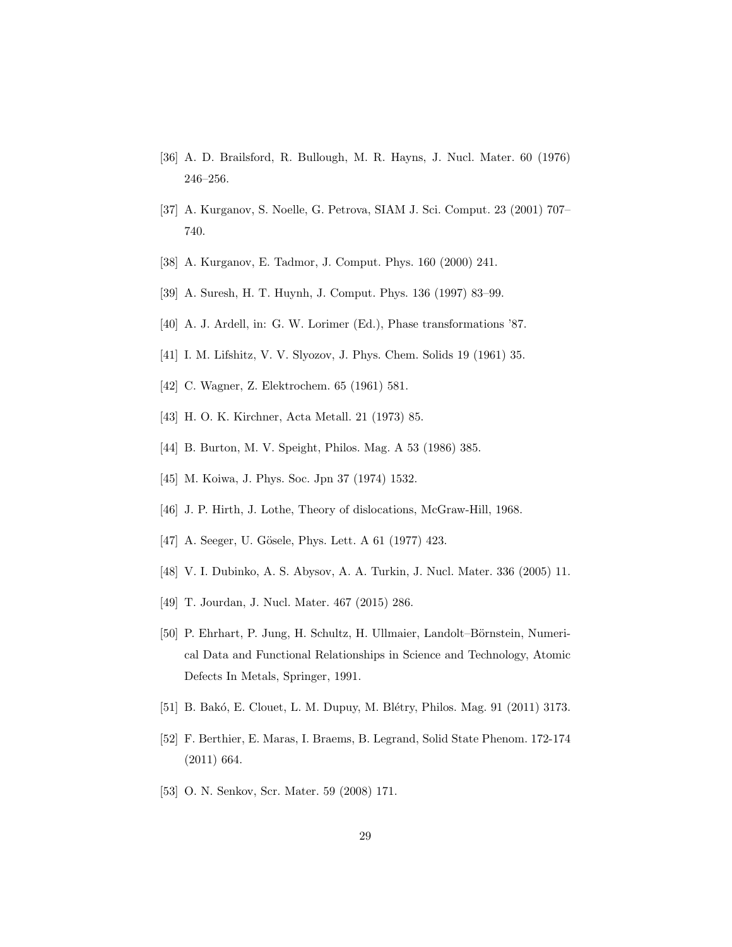- <span id="page-28-0"></span>[36] A. D. Brailsford, R. Bullough, M. R. Hayns, J. Nucl. Mater. 60 (1976) 246–256.
- <span id="page-28-1"></span>[37] A. Kurganov, S. Noelle, G. Petrova, SIAM J. Sci. Comput. 23 (2001) 707– 740.
- <span id="page-28-2"></span>[38] A. Kurganov, E. Tadmor, J. Comput. Phys. 160 (2000) 241.
- <span id="page-28-3"></span>[39] A. Suresh, H. T. Huynh, J. Comput. Phys. 136 (1997) 83–99.
- <span id="page-28-4"></span>[40] A. J. Ardell, in: G. W. Lorimer (Ed.), Phase transformations '87.
- <span id="page-28-5"></span>[41] I. M. Lifshitz, V. V. Slyozov, J. Phys. Chem. Solids 19 (1961) 35.
- <span id="page-28-6"></span>[42] C. Wagner, Z. Elektrochem. 65 (1961) 581.
- <span id="page-28-7"></span>[43] H. O. K. Kirchner, Acta Metall. 21 (1973) 85.
- <span id="page-28-8"></span>[44] B. Burton, M. V. Speight, Philos. Mag. A 53 (1986) 385.
- <span id="page-28-9"></span>[45] M. Koiwa, J. Phys. Soc. Jpn 37 (1974) 1532.
- <span id="page-28-10"></span>[46] J. P. Hirth, J. Lothe, Theory of dislocations, McGraw-Hill, 1968.
- <span id="page-28-11"></span>[47] A. Seeger, U. Gösele, Phys. Lett. A 61 (1977) 423.
- <span id="page-28-12"></span>[48] V. I. Dubinko, A. S. Abysov, A. A. Turkin, J. Nucl. Mater. 336 (2005) 11.
- <span id="page-28-13"></span>[49] T. Jourdan, J. Nucl. Mater. 467 (2015) 286.
- <span id="page-28-14"></span>[50] P. Ehrhart, P. Jung, H. Schultz, H. Ullmaier, Landolt–Börnstein, Numerical Data and Functional Relationships in Science and Technology, Atomic Defects In Metals, Springer, 1991.
- <span id="page-28-15"></span>[51] B. Bakó, E. Clouet, L. M. Dupuy, M. Blétry, Philos. Mag. 91 (2011) 3173.
- <span id="page-28-16"></span>[52] F. Berthier, E. Maras, I. Braems, B. Legrand, Solid State Phenom. 172-174 (2011) 664.
- <span id="page-28-17"></span>[53] O. N. Senkov, Scr. Mater. 59 (2008) 171.